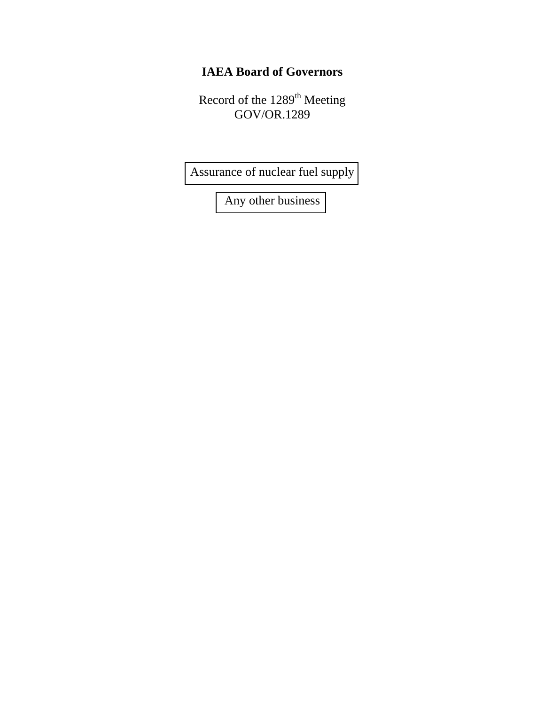## **IAEA Board of Governors**

Record of the 1289<sup>th</sup> Meeting GOV/OR.1289

[Assurance of nuclear fuel supply](#page-13-0) 

[Any other business](#page-32-0)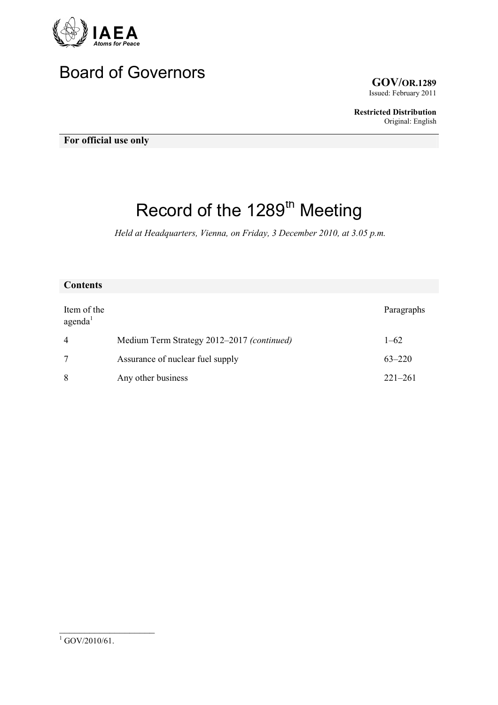

# Board of Governors **GOV/OR.1289**

Issued: February 2011

**Restricted Distribution** Original: English

**For official use only** 

## Record of the 1289<sup>th</sup> Meeting

*Held at Headquarters, Vienna, on Friday, 3 December 2010, at 3.05 p.m.* 

#### **Contents**

| Item of the<br>agenda <sup>1</sup> |                                            | Paragraphs  |
|------------------------------------|--------------------------------------------|-------------|
| $\overline{4}$                     | Medium Term Strategy 2012–2017 (continued) | $1 - 62$    |
|                                    | Assurance of nuclear fuel supply           | $63 - 220$  |
| 8                                  | Any other business                         | $221 - 261$ |

 $\overline{\phantom{a}}$  , which is a set of the set of the set of the set of the set of the set of the set of the set of the set of the set of the set of the set of the set of the set of the set of the set of the set of the set of th

 $^{1}$  GOV/2010/61.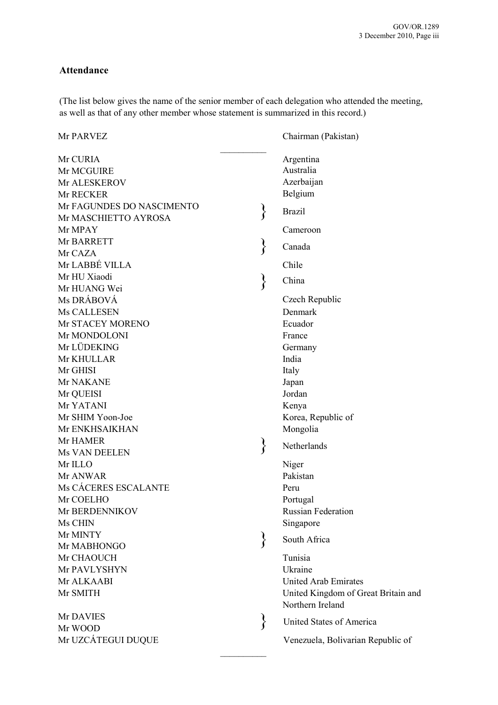#### **Attendance**

(The list below gives the name of the senior member of each delegation who attended the meeting, as well as that of any other member whose statement is summarized in this record.)

| Mr PARVEZ                  | Chairman (Pakistan)                                     |
|----------------------------|---------------------------------------------------------|
| Mr CURIA                   | Argentina<br>Australia                                  |
| Mr MCGUIRE                 |                                                         |
| Mr ALESKEROV               | Azerbaijan                                              |
| Mr RECKER                  | Belgium                                                 |
| Mr FAGUNDES DO NASCIMENTO  | <b>Brazil</b>                                           |
| Mr MASCHIETTO AYROSA       |                                                         |
| Mr MPAY                    | Cameroon                                                |
| Mr BARRETT                 | Canada                                                  |
| Mr CAZA<br>Mr LABBÉ VILLA  |                                                         |
| Mr HU Xiaodi               | Chile                                                   |
|                            | China                                                   |
| Mr HUANG Wei<br>Ms DRÁBOVÁ |                                                         |
|                            | Czech Republic                                          |
| Ms CALLESEN                | Denmark                                                 |
| Mr STACEY MORENO           | Ecuador                                                 |
| Mr MONDOLONI               | France                                                  |
| Mr LÜDEKING                | Germany                                                 |
| Mr KHULLAR                 | India                                                   |
| Mr GHISI                   | Italy                                                   |
| Mr NAKANE                  | Japan                                                   |
| Mr QUEISI                  | Jordan                                                  |
| Mr YATANI                  | Kenya                                                   |
| Mr SHIM Yoon-Joe           | Korea, Republic of                                      |
| Mr ENKHSAIKHAN             | Mongolia                                                |
| Mr HAMER                   | Netherlands                                             |
| Ms VAN DEELEN              |                                                         |
| Mr ILLO                    | Niger                                                   |
| Mr ANWAR                   | Pakistan                                                |
| Ms CÁCERES ESCALANTE       | Peru                                                    |
| Mr COELHO                  | Portugal                                                |
| Mr BERDENNIKOV             | <b>Russian Federation</b>                               |
| Ms CHIN                    | Singapore                                               |
| Mr MINTY                   | South Africa                                            |
| Mr MABHONGO                |                                                         |
| Mr CHAOUCH                 | Tunisia                                                 |
| Mr PAVLYSHYN               | Ukraine                                                 |
| Mr ALKAABI                 | <b>United Arab Emirates</b>                             |
| Mr SMITH                   | United Kingdom of Great Britain and<br>Northern Ireland |
| Mr DAVIES                  | United States of America                                |
| Mr WOOD                    |                                                         |
| Mr UZCÁTEGUI DUQUE         | Venezuela, Bolivarian Republic of                       |
|                            |                                                         |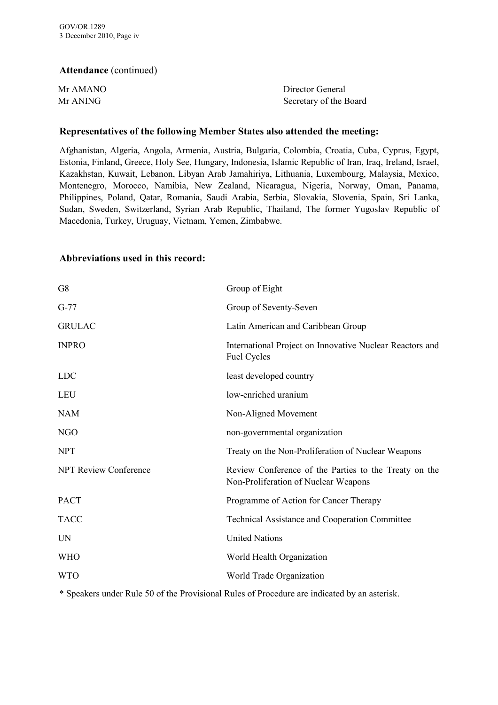#### **Attendance** (continued)

| Mr AMANO | Director General       |
|----------|------------------------|
| Mr ANING | Secretary of the Board |

#### **Representatives of the following Member States also attended the meeting:**

Afghanistan, Algeria, Angola, Armenia, Austria, Bulgaria, Colombia, Croatia, Cuba, Cyprus, Egypt, Estonia, Finland, Greece, Holy See, Hungary, Indonesia, Islamic Republic of Iran, Iraq, Ireland, Israel, Kazakhstan, Kuwait, Lebanon, Libyan Arab Jamahiriya, Lithuania, Luxembourg, Malaysia, Mexico, Montenegro, Morocco, Namibia, New Zealand, Nicaragua, Nigeria, Norway, Oman, Panama, Philippines, Poland, Qatar, Romania, Saudi Arabia, Serbia, Slovakia, Slovenia, Spain, Sri Lanka, Sudan, Sweden, Switzerland, Syrian Arab Republic, Thailand, The former Yugoslav Republic of Macedonia, Turkey, Uruguay, Vietnam, Yemen, Zimbabwe.

#### **Abbreviations used in this record:**

| G8                           | Group of Eight                                                                                |
|------------------------------|-----------------------------------------------------------------------------------------------|
| $G-77$                       | Group of Seventy-Seven                                                                        |
| <b>GRULAC</b>                | Latin American and Caribbean Group                                                            |
| <b>INPRO</b>                 | International Project on Innovative Nuclear Reactors and<br><b>Fuel Cycles</b>                |
| <b>LDC</b>                   | least developed country                                                                       |
| <b>LEU</b>                   | low-enriched uranium                                                                          |
| <b>NAM</b>                   | Non-Aligned Movement                                                                          |
| NGO                          | non-governmental organization                                                                 |
| <b>NPT</b>                   | Treaty on the Non-Proliferation of Nuclear Weapons                                            |
| <b>NPT Review Conference</b> | Review Conference of the Parties to the Treaty on the<br>Non-Proliferation of Nuclear Weapons |
| <b>PACT</b>                  | Programme of Action for Cancer Therapy                                                        |
| <b>TACC</b>                  | <b>Technical Assistance and Cooperation Committee</b>                                         |
| <b>UN</b>                    | <b>United Nations</b>                                                                         |
| <b>WHO</b>                   | World Health Organization                                                                     |
| <b>WTO</b>                   | World Trade Organization                                                                      |
|                              |                                                                                               |

\* Speakers under Rule 50 of the Provisional Rules of Procedure are indicated by an asterisk.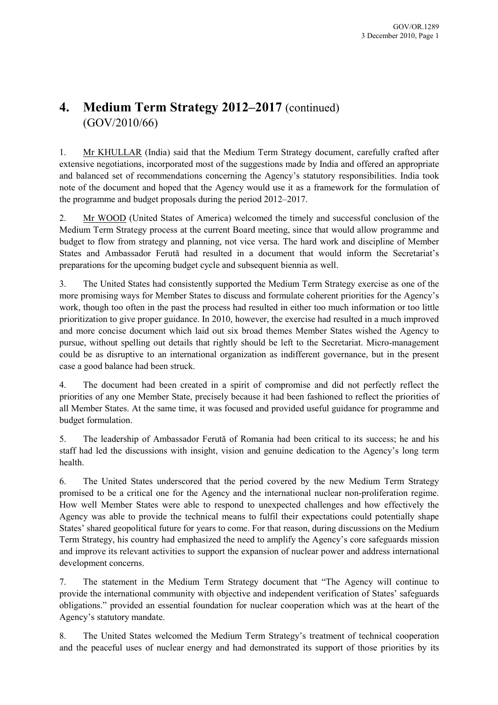## **4. Medium Term Strategy 2012–2017** (continued) (GOV/2010/66)

1. Mr KHULLAR (India) said that the Medium Term Strategy document, carefully crafted after extensive negotiations, incorporated most of the suggestions made by India and offered an appropriate and balanced set of recommendations concerning the Agency's statutory responsibilities. India took note of the document and hoped that the Agency would use it as a framework for the formulation of the programme and budget proposals during the period 2012–2017.

2. Mr WOOD (United States of America) welcomed the timely and successful conclusion of the Medium Term Strategy process at the current Board meeting, since that would allow programme and budget to flow from strategy and planning, not vice versa. The hard work and discipline of Member States and Ambassador Ferută had resulted in a document that would inform the Secretariat's preparations for the upcoming budget cycle and subsequent biennia as well.

3. The United States had consistently supported the Medium Term Strategy exercise as one of the more promising ways for Member States to discuss and formulate coherent priorities for the Agency's work, though too often in the past the process had resulted in either too much information or too little prioritization to give proper guidance. In 2010, however, the exercise had resulted in a much improved and more concise document which laid out six broad themes Member States wished the Agency to pursue, without spelling out details that rightly should be left to the Secretariat. Micro-management could be as disruptive to an international organization as indifferent governance, but in the present case a good balance had been struck.

4. The document had been created in a spirit of compromise and did not perfectly reflect the priorities of any one Member State, precisely because it had been fashioned to reflect the priorities of all Member States. At the same time, it was focused and provided useful guidance for programme and budget formulation.

5. The leadership of Ambassador Ferută of Romania had been critical to its success; he and his staff had led the discussions with insight, vision and genuine dedication to the Agency's long term health.

6. The United States underscored that the period covered by the new Medium Term Strategy promised to be a critical one for the Agency and the international nuclear non-proliferation regime. How well Member States were able to respond to unexpected challenges and how effectively the Agency was able to provide the technical means to fulfil their expectations could potentially shape States' shared geopolitical future for years to come. For that reason, during discussions on the Medium Term Strategy, his country had emphasized the need to amplify the Agency's core safeguards mission and improve its relevant activities to support the expansion of nuclear power and address international development concerns.

7. The statement in the Medium Term Strategy document that "The Agency will continue to provide the international community with objective and independent verification of States' safeguards obligations." provided an essential foundation for nuclear cooperation which was at the heart of the Agency's statutory mandate.

8. The United States welcomed the Medium Term Strategy's treatment of technical cooperation and the peaceful uses of nuclear energy and had demonstrated its support of those priorities by its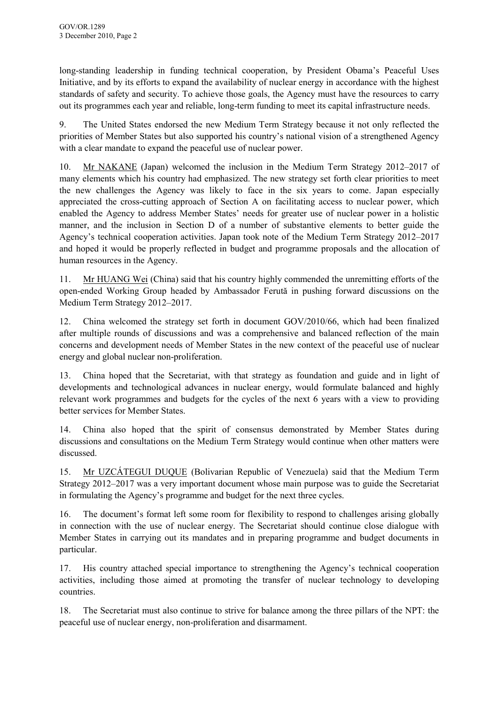long-standing leadership in funding technical cooperation, by President Obama's Peaceful Uses Initiative, and by its efforts to expand the availability of nuclear energy in accordance with the highest standards of safety and security. To achieve those goals, the Agency must have the resources to carry out its programmes each year and reliable, long-term funding to meet its capital infrastructure needs.

9. The United States endorsed the new Medium Term Strategy because it not only reflected the priorities of Member States but also supported his country's national vision of a strengthened Agency with a clear mandate to expand the peaceful use of nuclear power.

10. Mr NAKANE (Japan) welcomed the inclusion in the Medium Term Strategy 2012–2017 of many elements which his country had emphasized. The new strategy set forth clear priorities to meet the new challenges the Agency was likely to face in the six years to come. Japan especially appreciated the cross-cutting approach of Section A on facilitating access to nuclear power, which enabled the Agency to address Member States' needs for greater use of nuclear power in a holistic manner, and the inclusion in Section D of a number of substantive elements to better guide the Agency's technical cooperation activities. Japan took note of the Medium Term Strategy 2012–2017 and hoped it would be properly reflected in budget and programme proposals and the allocation of human resources in the Agency.

11. Mr HUANG Wei (China) said that his country highly commended the unremitting efforts of the open-ended Working Group headed by Ambassador Ferută in pushing forward discussions on the Medium Term Strategy 2012–2017.

12. China welcomed the strategy set forth in document GOV/2010/66, which had been finalized after multiple rounds of discussions and was a comprehensive and balanced reflection of the main concerns and development needs of Member States in the new context of the peaceful use of nuclear energy and global nuclear non-proliferation.

13. China hoped that the Secretariat, with that strategy as foundation and guide and in light of developments and technological advances in nuclear energy, would formulate balanced and highly relevant work programmes and budgets for the cycles of the next 6 years with a view to providing better services for Member States.

14. China also hoped that the spirit of consensus demonstrated by Member States during discussions and consultations on the Medium Term Strategy would continue when other matters were discussed.

15. Mr UZCÁTEGUI DUQUE (Bolivarian Republic of Venezuela) said that the Medium Term Strategy 2012–2017 was a very important document whose main purpose was to guide the Secretariat in formulating the Agency's programme and budget for the next three cycles.

16. The document's format left some room for flexibility to respond to challenges arising globally in connection with the use of nuclear energy. The Secretariat should continue close dialogue with Member States in carrying out its mandates and in preparing programme and budget documents in particular.

17. His country attached special importance to strengthening the Agency's technical cooperation activities, including those aimed at promoting the transfer of nuclear technology to developing countries.

18. The Secretariat must also continue to strive for balance among the three pillars of the NPT: the peaceful use of nuclear energy, non-proliferation and disarmament.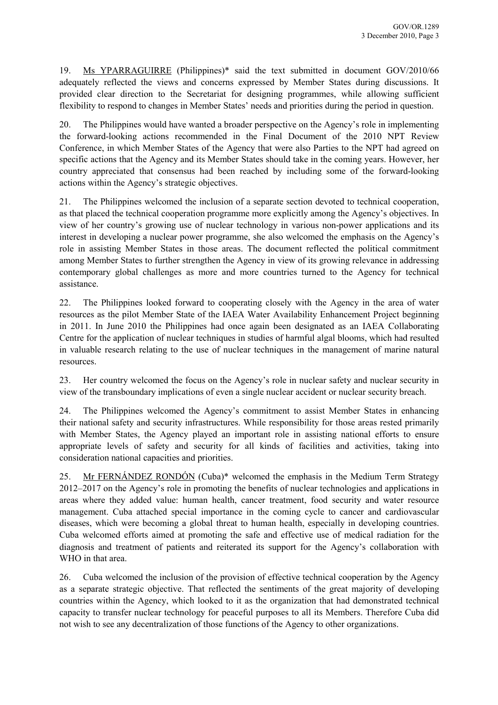19. Ms YPARRAGUIRRE (Philippines)\* said the text submitted in document GOV/2010/66 adequately reflected the views and concerns expressed by Member States during discussions. It provided clear direction to the Secretariat for designing programmes, while allowing sufficient flexibility to respond to changes in Member States' needs and priorities during the period in question.

20. The Philippines would have wanted a broader perspective on the Agency's role in implementing the forward-looking actions recommended in the Final Document of the 2010 NPT Review Conference, in which Member States of the Agency that were also Parties to the NPT had agreed on specific actions that the Agency and its Member States should take in the coming years. However, her country appreciated that consensus had been reached by including some of the forward-looking actions within the Agency's strategic objectives.

21. The Philippines welcomed the inclusion of a separate section devoted to technical cooperation, as that placed the technical cooperation programme more explicitly among the Agency's objectives. In view of her country's growing use of nuclear technology in various non-power applications and its interest in developing a nuclear power programme, she also welcomed the emphasis on the Agency's role in assisting Member States in those areas. The document reflected the political commitment among Member States to further strengthen the Agency in view of its growing relevance in addressing contemporary global challenges as more and more countries turned to the Agency for technical assistance.

22. The Philippines looked forward to cooperating closely with the Agency in the area of water resources as the pilot Member State of the IAEA Water Availability Enhancement Project beginning in 2011. In June 2010 the Philippines had once again been designated as an IAEA Collaborating Centre for the application of nuclear techniques in studies of harmful algal blooms, which had resulted in valuable research relating to the use of nuclear techniques in the management of marine natural resources.

23. Her country welcomed the focus on the Agency's role in nuclear safety and nuclear security in view of the transboundary implications of even a single nuclear accident or nuclear security breach.

24. The Philippines welcomed the Agency's commitment to assist Member States in enhancing their national safety and security infrastructures. While responsibility for those areas rested primarily with Member States, the Agency played an important role in assisting national efforts to ensure appropriate levels of safety and security for all kinds of facilities and activities, taking into consideration national capacities and priorities.

25. Mr FERNÁNDEZ RONDÓN (Cuba)\* welcomed the emphasis in the Medium Term Strategy 2012–2017 on the Agency's role in promoting the benefits of nuclear technologies and applications in areas where they added value: human health, cancer treatment, food security and water resource management. Cuba attached special importance in the coming cycle to cancer and cardiovascular diseases, which were becoming a global threat to human health, especially in developing countries. Cuba welcomed efforts aimed at promoting the safe and effective use of medical radiation for the diagnosis and treatment of patients and reiterated its support for the Agency's collaboration with WHO in that area.

26. Cuba welcomed the inclusion of the provision of effective technical cooperation by the Agency as a separate strategic objective. That reflected the sentiments of the great majority of developing countries within the Agency, which looked to it as the organization that had demonstrated technical capacity to transfer nuclear technology for peaceful purposes to all its Members. Therefore Cuba did not wish to see any decentralization of those functions of the Agency to other organizations.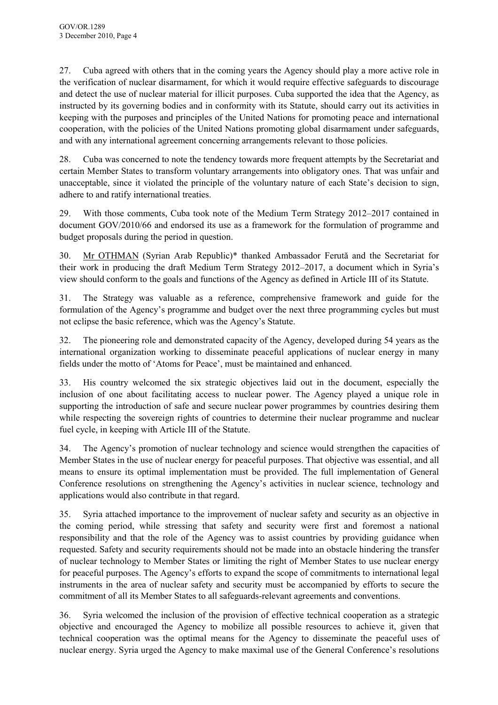27. Cuba agreed with others that in the coming years the Agency should play a more active role in the verification of nuclear disarmament, for which it would require effective safeguards to discourage and detect the use of nuclear material for illicit purposes. Cuba supported the idea that the Agency, as instructed by its governing bodies and in conformity with its Statute, should carry out its activities in keeping with the purposes and principles of the United Nations for promoting peace and international cooperation, with the policies of the United Nations promoting global disarmament under safeguards, and with any international agreement concerning arrangements relevant to those policies.

28. Cuba was concerned to note the tendency towards more frequent attempts by the Secretariat and certain Member States to transform voluntary arrangements into obligatory ones. That was unfair and unacceptable, since it violated the principle of the voluntary nature of each State's decision to sign, adhere to and ratify international treaties.

29. With those comments, Cuba took note of the Medium Term Strategy 2012–2017 contained in document GOV/2010/66 and endorsed its use as a framework for the formulation of programme and budget proposals during the period in question.

30. Mr OTHMAN (Syrian Arab Republic)\* thanked Ambassador Ferută and the Secretariat for their work in producing the draft Medium Term Strategy 2012–2017, a document which in Syria's view should conform to the goals and functions of the Agency as defined in Article III of its Statute.

31. The Strategy was valuable as a reference, comprehensive framework and guide for the formulation of the Agency's programme and budget over the next three programming cycles but must not eclipse the basic reference, which was the Agency's Statute.

32. The pioneering role and demonstrated capacity of the Agency, developed during 54 years as the international organization working to disseminate peaceful applications of nuclear energy in many fields under the motto of 'Atoms for Peace', must be maintained and enhanced.

33. His country welcomed the six strategic objectives laid out in the document, especially the inclusion of one about facilitating access to nuclear power. The Agency played a unique role in supporting the introduction of safe and secure nuclear power programmes by countries desiring them while respecting the sovereign rights of countries to determine their nuclear programme and nuclear fuel cycle, in keeping with Article III of the Statute.

34. The Agency's promotion of nuclear technology and science would strengthen the capacities of Member States in the use of nuclear energy for peaceful purposes. That objective was essential, and all means to ensure its optimal implementation must be provided. The full implementation of General Conference resolutions on strengthening the Agency's activities in nuclear science, technology and applications would also contribute in that regard.

35. Syria attached importance to the improvement of nuclear safety and security as an objective in the coming period, while stressing that safety and security were first and foremost a national responsibility and that the role of the Agency was to assist countries by providing guidance when requested. Safety and security requirements should not be made into an obstacle hindering the transfer of nuclear technology to Member States or limiting the right of Member States to use nuclear energy for peaceful purposes. The Agency's efforts to expand the scope of commitments to international legal instruments in the area of nuclear safety and security must be accompanied by efforts to secure the commitment of all its Member States to all safeguards-relevant agreements and conventions.

36. Syria welcomed the inclusion of the provision of effective technical cooperation as a strategic objective and encouraged the Agency to mobilize all possible resources to achieve it, given that technical cooperation was the optimal means for the Agency to disseminate the peaceful uses of nuclear energy. Syria urged the Agency to make maximal use of the General Conference's resolutions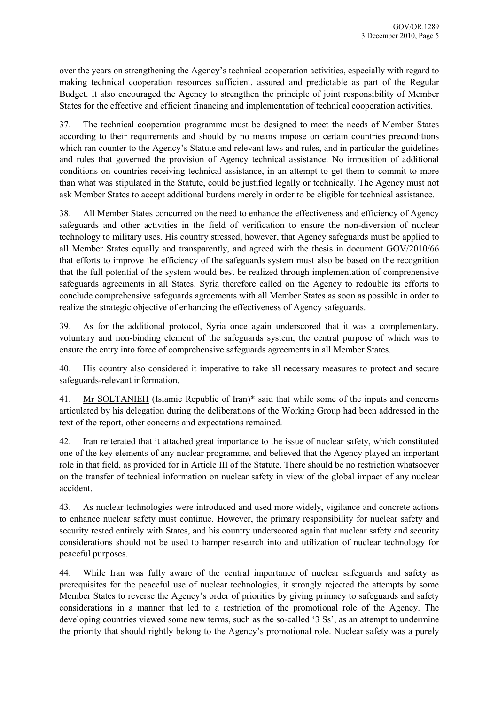over the years on strengthening the Agency's technical cooperation activities, especially with regard to making technical cooperation resources sufficient, assured and predictable as part of the Regular Budget. It also encouraged the Agency to strengthen the principle of joint responsibility of Member States for the effective and efficient financing and implementation of technical cooperation activities.

37. The technical cooperation programme must be designed to meet the needs of Member States according to their requirements and should by no means impose on certain countries preconditions which ran counter to the Agency's Statute and relevant laws and rules, and in particular the guidelines and rules that governed the provision of Agency technical assistance. No imposition of additional conditions on countries receiving technical assistance, in an attempt to get them to commit to more than what was stipulated in the Statute, could be justified legally or technically. The Agency must not ask Member States to accept additional burdens merely in order to be eligible for technical assistance.

38. All Member States concurred on the need to enhance the effectiveness and efficiency of Agency safeguards and other activities in the field of verification to ensure the non-diversion of nuclear technology to military uses. His country stressed, however, that Agency safeguards must be applied to all Member States equally and transparently, and agreed with the thesis in document GOV/2010/66 that efforts to improve the efficiency of the safeguards system must also be based on the recognition that the full potential of the system would best be realized through implementation of comprehensive safeguards agreements in all States. Syria therefore called on the Agency to redouble its efforts to conclude comprehensive safeguards agreements with all Member States as soon as possible in order to realize the strategic objective of enhancing the effectiveness of Agency safeguards.

39. As for the additional protocol, Syria once again underscored that it was a complementary, voluntary and non-binding element of the safeguards system, the central purpose of which was to ensure the entry into force of comprehensive safeguards agreements in all Member States.

40. His country also considered it imperative to take all necessary measures to protect and secure safeguards-relevant information.

41. Mr SOLTANIEH (Islamic Republic of Iran)\* said that while some of the inputs and concerns articulated by his delegation during the deliberations of the Working Group had been addressed in the text of the report, other concerns and expectations remained.

42. Iran reiterated that it attached great importance to the issue of nuclear safety, which constituted one of the key elements of any nuclear programme, and believed that the Agency played an important role in that field, as provided for in Article III of the Statute. There should be no restriction whatsoever on the transfer of technical information on nuclear safety in view of the global impact of any nuclear accident.

43. As nuclear technologies were introduced and used more widely, vigilance and concrete actions to enhance nuclear safety must continue. However, the primary responsibility for nuclear safety and security rested entirely with States, and his country underscored again that nuclear safety and security considerations should not be used to hamper research into and utilization of nuclear technology for peaceful purposes.

44. While Iran was fully aware of the central importance of nuclear safeguards and safety as prerequisites for the peaceful use of nuclear technologies, it strongly rejected the attempts by some Member States to reverse the Agency's order of priorities by giving primacy to safeguards and safety considerations in a manner that led to a restriction of the promotional role of the Agency. The developing countries viewed some new terms, such as the so-called '3 Ss', as an attempt to undermine the priority that should rightly belong to the Agency's promotional role. Nuclear safety was a purely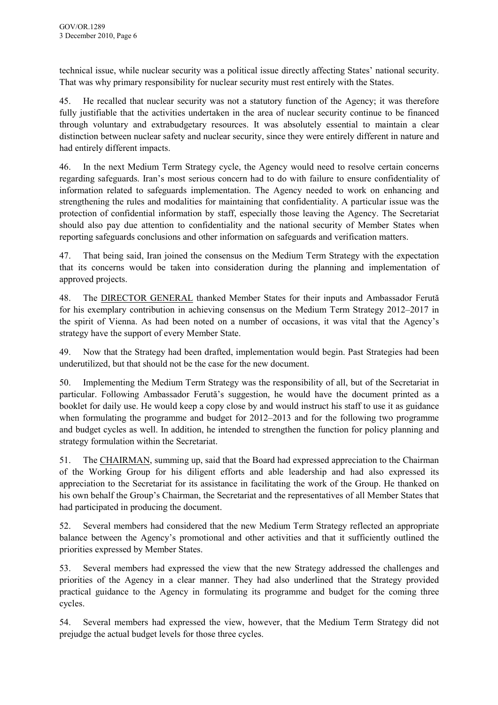technical issue, while nuclear security was a political issue directly affecting States' national security. That was why primary responsibility for nuclear security must rest entirely with the States.

45. He recalled that nuclear security was not a statutory function of the Agency; it was therefore fully justifiable that the activities undertaken in the area of nuclear security continue to be financed through voluntary and extrabudgetary resources. It was absolutely essential to maintain a clear distinction between nuclear safety and nuclear security, since they were entirely different in nature and had entirely different impacts.

46. In the next Medium Term Strategy cycle, the Agency would need to resolve certain concerns regarding safeguards. Iran's most serious concern had to do with failure to ensure confidentiality of information related to safeguards implementation. The Agency needed to work on enhancing and strengthening the rules and modalities for maintaining that confidentiality. A particular issue was the protection of confidential information by staff, especially those leaving the Agency. The Secretariat should also pay due attention to confidentiality and the national security of Member States when reporting safeguards conclusions and other information on safeguards and verification matters.

47. That being said, Iran joined the consensus on the Medium Term Strategy with the expectation that its concerns would be taken into consideration during the planning and implementation of approved projects.

48. The DIRECTOR GENERAL thanked Member States for their inputs and Ambassador Ferută for his exemplary contribution in achieving consensus on the Medium Term Strategy 2012–2017 in the spirit of Vienna. As had been noted on a number of occasions, it was vital that the Agency's strategy have the support of every Member State.

49. Now that the Strategy had been drafted, implementation would begin. Past Strategies had been underutilized, but that should not be the case for the new document.

50. Implementing the Medium Term Strategy was the responsibility of all, but of the Secretariat in particular. Following Ambassador Ferută's suggestion, he would have the document printed as a booklet for daily use. He would keep a copy close by and would instruct his staff to use it as guidance when formulating the programme and budget for 2012–2013 and for the following two programme and budget cycles as well. In addition, he intended to strengthen the function for policy planning and strategy formulation within the Secretariat.

51. The CHAIRMAN, summing up, said that the Board had expressed appreciation to the Chairman of the Working Group for his diligent efforts and able leadership and had also expressed its appreciation to the Secretariat for its assistance in facilitating the work of the Group. He thanked on his own behalf the Group's Chairman, the Secretariat and the representatives of all Member States that had participated in producing the document.

52. Several members had considered that the new Medium Term Strategy reflected an appropriate balance between the Agency's promotional and other activities and that it sufficiently outlined the priorities expressed by Member States.

53. Several members had expressed the view that the new Strategy addressed the challenges and priorities of the Agency in a clear manner. They had also underlined that the Strategy provided practical guidance to the Agency in formulating its programme and budget for the coming three cycles.

54. Several members had expressed the view, however, that the Medium Term Strategy did not prejudge the actual budget levels for those three cycles.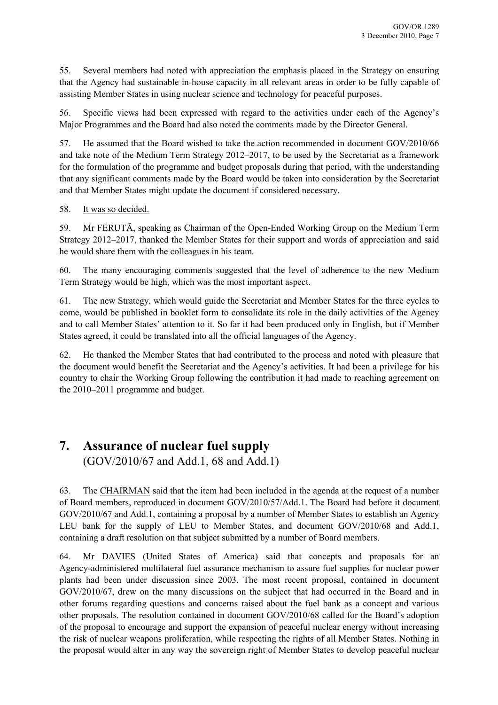55. Several members had noted with appreciation the emphasis placed in the Strategy on ensuring that the Agency had sustainable in-house capacity in all relevant areas in order to be fully capable of assisting Member States in using nuclear science and technology for peaceful purposes.

56. Specific views had been expressed with regard to the activities under each of the Agency's Major Programmes and the Board had also noted the comments made by the Director General.

57. He assumed that the Board wished to take the action recommended in document GOV/2010/66 and take note of the Medium Term Strategy 2012–2017, to be used by the Secretariat as a framework for the formulation of the programme and budget proposals during that period, with the understanding that any significant comments made by the Board would be taken into consideration by the Secretariat and that Member States might update the document if considered necessary.

#### 58. It was so decided.

59. Mr FERUTĂ, speaking as Chairman of the Open-Ended Working Group on the Medium Term Strategy 2012–2017, thanked the Member States for their support and words of appreciation and said he would share them with the colleagues in his team.

60. The many encouraging comments suggested that the level of adherence to the new Medium Term Strategy would be high, which was the most important aspect.

61. The new Strategy, which would guide the Secretariat and Member States for the three cycles to come, would be published in booklet form to consolidate its role in the daily activities of the Agency and to call Member States' attention to it. So far it had been produced only in English, but if Member States agreed, it could be translated into all the official languages of the Agency.

62. He thanked the Member States that had contributed to the process and noted with pleasure that the document would benefit the Secretariat and the Agency's activities. It had been a privilege for his country to chair the Working Group following the contribution it had made to reaching agreement on the 2010–2011 programme and budget.

## **7. Assurance of nuclear fuel supply**

(GOV/2010/67 and Add.1, 68 and Add.1)

63. The CHAIRMAN said that the item had been included in the agenda at the request of a number of Board members, reproduced in document GOV/2010/57/Add.1. The Board had before it document GOV/2010/67 and Add.1, containing a proposal by a number of Member States to establish an Agency LEU bank for the supply of LEU to Member States, and document GOV/2010/68 and Add.1, containing a draft resolution on that subject submitted by a number of Board members.

64. Mr DAVIES (United States of America) said that concepts and proposals for an Agency-administered multilateral fuel assurance mechanism to assure fuel supplies for nuclear power plants had been under discussion since 2003. The most recent proposal, contained in document GOV/2010/67, drew on the many discussions on the subject that had occurred in the Board and in other forums regarding questions and concerns raised about the fuel bank as a concept and various other proposals. The resolution contained in document GOV/2010/68 called for the Board's adoption of the proposal to encourage and support the expansion of peaceful nuclear energy without increasing the risk of nuclear weapons proliferation, while respecting the rights of all Member States. Nothing in the proposal would alter in any way the sovereign right of Member States to develop peaceful nuclear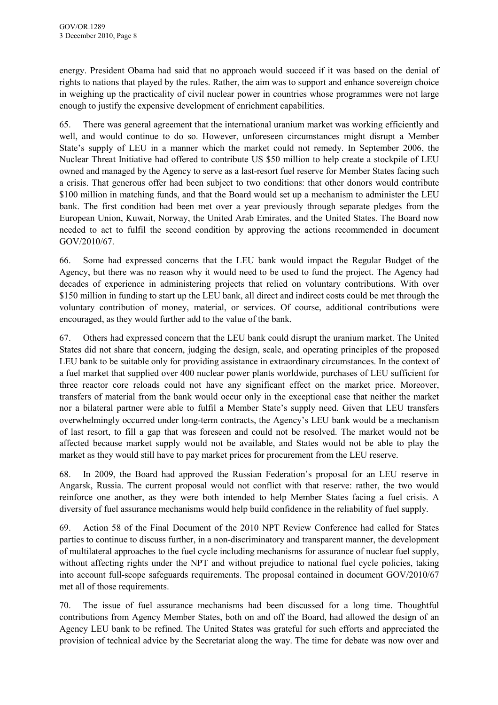energy. President Obama had said that no approach would succeed if it was based on the denial of rights to nations that played by the rules. Rather, the aim was to support and enhance sovereign choice in weighing up the practicality of civil nuclear power in countries whose programmes were not large enough to justify the expensive development of enrichment capabilities.

65. There was general agreement that the international uranium market was working efficiently and well, and would continue to do so. However, unforeseen circumstances might disrupt a Member State's supply of LEU in a manner which the market could not remedy. In September 2006, the Nuclear Threat Initiative had offered to contribute US \$50 million to help create a stockpile of LEU owned and managed by the Agency to serve as a last-resort fuel reserve for Member States facing such a crisis. That generous offer had been subject to two conditions: that other donors would contribute \$100 million in matching funds, and that the Board would set up a mechanism to administer the LEU bank. The first condition had been met over a year previously through separate pledges from the European Union, Kuwait, Norway, the United Arab Emirates, and the United States. The Board now needed to act to fulfil the second condition by approving the actions recommended in document GOV/2010/67.

66. Some had expressed concerns that the LEU bank would impact the Regular Budget of the Agency, but there was no reason why it would need to be used to fund the project. The Agency had decades of experience in administering projects that relied on voluntary contributions. With over \$150 million in funding to start up the LEU bank, all direct and indirect costs could be met through the voluntary contribution of money, material, or services. Of course, additional contributions were encouraged, as they would further add to the value of the bank.

67. Others had expressed concern that the LEU bank could disrupt the uranium market. The United States did not share that concern, judging the design, scale, and operating principles of the proposed LEU bank to be suitable only for providing assistance in extraordinary circumstances. In the context of a fuel market that supplied over 400 nuclear power plants worldwide, purchases of LEU sufficient for three reactor core reloads could not have any significant effect on the market price. Moreover, transfers of material from the bank would occur only in the exceptional case that neither the market nor a bilateral partner were able to fulfil a Member State's supply need. Given that LEU transfers overwhelmingly occurred under long-term contracts, the Agency's LEU bank would be a mechanism of last resort, to fill a gap that was foreseen and could not be resolved. The market would not be affected because market supply would not be available, and States would not be able to play the market as they would still have to pay market prices for procurement from the LEU reserve.

68. In 2009, the Board had approved the Russian Federation's proposal for an LEU reserve in Angarsk, Russia. The current proposal would not conflict with that reserve: rather, the two would reinforce one another, as they were both intended to help Member States facing a fuel crisis. A diversity of fuel assurance mechanisms would help build confidence in the reliability of fuel supply.

69. Action 58 of the Final Document of the 2010 NPT Review Conference had called for States parties to continue to discuss further, in a non-discriminatory and transparent manner, the development of multilateral approaches to the fuel cycle including mechanisms for assurance of nuclear fuel supply, without affecting rights under the NPT and without prejudice to national fuel cycle policies, taking into account full-scope safeguards requirements. The proposal contained in document GOV/2010/67 met all of those requirements.

70. The issue of fuel assurance mechanisms had been discussed for a long time. Thoughtful contributions from Agency Member States, both on and off the Board, had allowed the design of an Agency LEU bank to be refined. The United States was grateful for such efforts and appreciated the provision of technical advice by the Secretariat along the way. The time for debate was now over and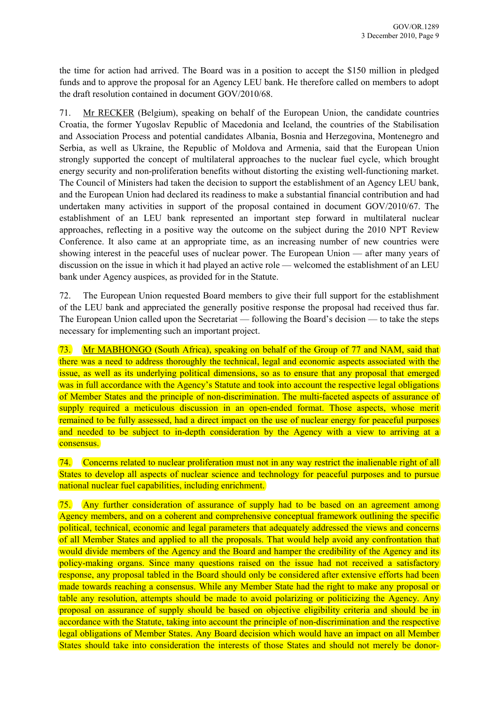<span id="page-13-0"></span>the time for action had arrived. The Board was in a position to accept the \$150 million in pledged funds and to approve the proposal for an Agency LEU bank. He therefore called on members to adopt the draft resolution contained in document GOV/2010/68.

71. Mr RECKER (Belgium), speaking on behalf of the European Union, the candidate countries Croatia, the former Yugoslav Republic of Macedonia and Iceland, the countries of the Stabilisation and Association Process and potential candidates Albania, Bosnia and Herzegovina, Montenegro and Serbia, as well as Ukraine, the Republic of Moldova and Armenia, said that the European Union strongly supported the concept of multilateral approaches to the nuclear fuel cycle, which brought energy security and non-proliferation benefits without distorting the existing well-functioning market. The Council of Ministers had taken the decision to support the establishment of an Agency LEU bank, and the European Union had declared its readiness to make a substantial financial contribution and had undertaken many activities in support of the proposal contained in document GOV/2010/67. The establishment of an LEU bank represented an important step forward in multilateral nuclear approaches, reflecting in a positive way the outcome on the subject during the 2010 NPT Review Conference. It also came at an appropriate time, as an increasing number of new countries were showing interest in the peaceful uses of nuclear power. The European Union — after many years of discussion on the issue in which it had played an active role — welcomed the establishment of an LEU bank under Agency auspices, as provided for in the Statute.

72. The European Union requested Board members to give their full support for the establishment of the LEU bank and appreciated the generally positive response the proposal had received thus far. The European Union called upon the Secretariat — following the Board's decision — to take the steps necessary for implementing such an important project.

73. Mr MABHONGO (South Africa), speaking on behalf of the Group of 77 and NAM, said that there was a need to address thoroughly the technical, legal and economic aspects associated with the issue, as well as its underlying political dimensions, so as to ensure that any proposal that emerged was in full accordance with the Agency's Statute and took into account the respective legal obligations of Member States and the principle of non-discrimination. The multi-faceted aspects of assurance of supply required a meticulous discussion in an open-ended format. Those aspects, whose merit remained to be fully assessed, had a direct impact on the use of nuclear energy for peaceful purposes and needed to be subject to in-depth consideration by the Agency with a view to arriving at a consensus.

74. Concerns related to nuclear proliferation must not in any way restrict the inalienable right of all States to develop all aspects of nuclear science and technology for peaceful purposes and to pursue national nuclear fuel capabilities, including enrichment.

75. Any further consideration of assurance of supply had to be based on an agreement among Agency members, and on a coherent and comprehensive conceptual framework outlining the specific political, technical, economic and legal parameters that adequately addressed the views and concerns of all Member States and applied to all the proposals. That would help avoid any confrontation that would divide members of the Agency and the Board and hamper the credibility of the Agency and its policy-making organs. Since many questions raised on the issue had not received a satisfactory response, any proposal tabled in the Board should only be considered after extensive efforts had been made towards reaching a consensus. While any Member State had the right to make any proposal or table any resolution, attempts should be made to avoid polarizing or politicizing the Agency. Any proposal on assurance of supply should be based on objective eligibility criteria and should be in accordance with the Statute, taking into account the principle of non-discrimination and the respective legal obligations of Member States. Any Board decision which would have an impact on all Member States should take into consideration the interests of those States and should not merely be donor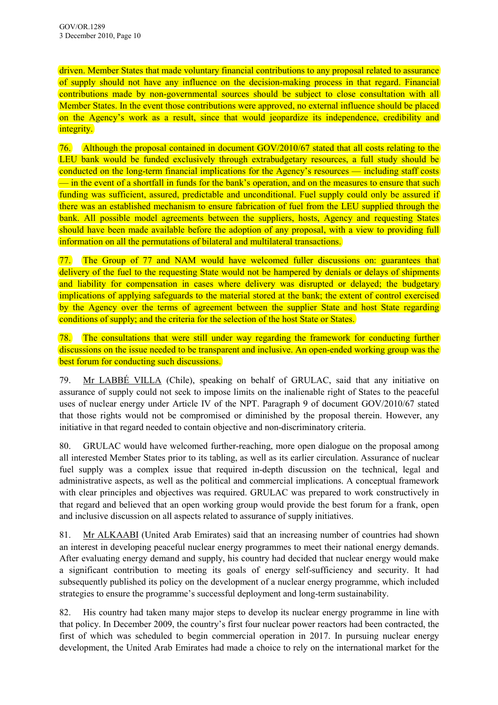driven. Member States that made voluntary financial contributions to any proposal related to assurance of supply should not have any influence on the decision-making process in that regard. Financial contributions made by non-governmental sources should be subject to close consultation with all Member States. In the event those contributions were approved, no external influence should be placed on the Agency's work as a result, since that would jeopardize its independence, credibility and integrity.

76. Although the proposal contained in document GOV/2010/67 stated that all costs relating to the LEU bank would be funded exclusively through extrabudgetary resources, a full study should be conducted on the long-term financial implications for the Agency's resources — including staff costs — in the event of a shortfall in funds for the bank's operation, and on the measures to ensure that such funding was sufficient, assured, predictable and unconditional. Fuel supply could only be assured if there was an established mechanism to ensure fabrication of fuel from the LEU supplied through the bank. All possible model agreements between the suppliers, hosts, Agency and requesting States should have been made available before the adoption of any proposal, with a view to providing full information on all the permutations of bilateral and multilateral transactions.

77. The Group of 77 and NAM would have welcomed fuller discussions on: guarantees that delivery of the fuel to the requesting State would not be hampered by denials or delays of shipments and liability for compensation in cases where delivery was disrupted or delayed; the budgetary implications of applying safeguards to the material stored at the bank; the extent of control exercised by the Agency over the terms of agreement between the supplier State and host State regarding conditions of supply; and the criteria for the selection of the host State or States.

78. The consultations that were still under way regarding the framework for conducting further discussions on the issue needed to be transparent and inclusive. An open-ended working group was the best forum for conducting such discussions.

79. Mr LABBÉ VILLA (Chile), speaking on behalf of GRULAC, said that any initiative on assurance of supply could not seek to impose limits on the inalienable right of States to the peaceful uses of nuclear energy under Article IV of the NPT. Paragraph 9 of document GOV/2010/67 stated that those rights would not be compromised or diminished by the proposal therein. However, any initiative in that regard needed to contain objective and non-discriminatory criteria.

80. GRULAC would have welcomed further-reaching, more open dialogue on the proposal among all interested Member States prior to its tabling, as well as its earlier circulation. Assurance of nuclear fuel supply was a complex issue that required in-depth discussion on the technical, legal and administrative aspects, as well as the political and commercial implications. A conceptual framework with clear principles and objectives was required. GRULAC was prepared to work constructively in that regard and believed that an open working group would provide the best forum for a frank, open and inclusive discussion on all aspects related to assurance of supply initiatives.

81. Mr ALKAABI (United Arab Emirates) said that an increasing number of countries had shown an interest in developing peaceful nuclear energy programmes to meet their national energy demands. After evaluating energy demand and supply, his country had decided that nuclear energy would make a significant contribution to meeting its goals of energy self-sufficiency and security. It had subsequently published its policy on the development of a nuclear energy programme, which included strategies to ensure the programme's successful deployment and long-term sustainability.

82. His country had taken many major steps to develop its nuclear energy programme in line with that policy. In December 2009, the country's first four nuclear power reactors had been contracted, the first of which was scheduled to begin commercial operation in 2017. In pursuing nuclear energy development, the United Arab Emirates had made a choice to rely on the international market for the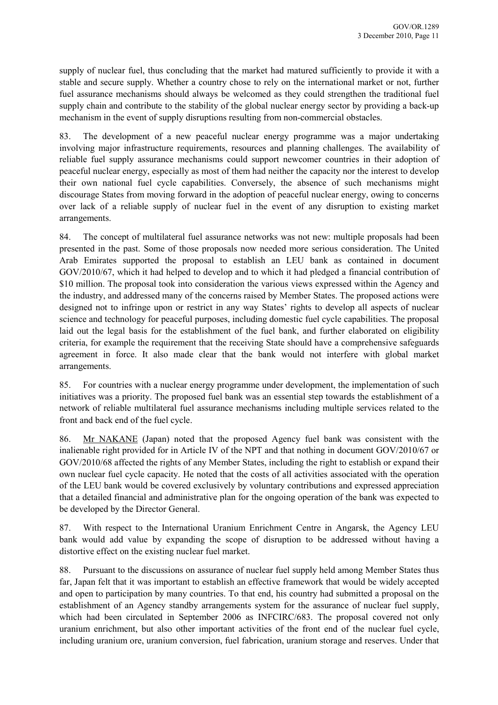supply of nuclear fuel, thus concluding that the market had matured sufficiently to provide it with a stable and secure supply. Whether a country chose to rely on the international market or not, further fuel assurance mechanisms should always be welcomed as they could strengthen the traditional fuel supply chain and contribute to the stability of the global nuclear energy sector by providing a back-up mechanism in the event of supply disruptions resulting from non-commercial obstacles.

83. The development of a new peaceful nuclear energy programme was a major undertaking involving major infrastructure requirements, resources and planning challenges. The availability of reliable fuel supply assurance mechanisms could support newcomer countries in their adoption of peaceful nuclear energy, especially as most of them had neither the capacity nor the interest to develop their own national fuel cycle capabilities. Conversely, the absence of such mechanisms might discourage States from moving forward in the adoption of peaceful nuclear energy, owing to concerns over lack of a reliable supply of nuclear fuel in the event of any disruption to existing market arrangements.

84. The concept of multilateral fuel assurance networks was not new: multiple proposals had been presented in the past. Some of those proposals now needed more serious consideration. The United Arab Emirates supported the proposal to establish an LEU bank as contained in document GOV/2010/67, which it had helped to develop and to which it had pledged a financial contribution of \$10 million. The proposal took into consideration the various views expressed within the Agency and the industry, and addressed many of the concerns raised by Member States. The proposed actions were designed not to infringe upon or restrict in any way States' rights to develop all aspects of nuclear science and technology for peaceful purposes, including domestic fuel cycle capabilities. The proposal laid out the legal basis for the establishment of the fuel bank, and further elaborated on eligibility criteria, for example the requirement that the receiving State should have a comprehensive safeguards agreement in force. It also made clear that the bank would not interfere with global market arrangements.

85. For countries with a nuclear energy programme under development, the implementation of such initiatives was a priority. The proposed fuel bank was an essential step towards the establishment of a network of reliable multilateral fuel assurance mechanisms including multiple services related to the front and back end of the fuel cycle.

86. Mr NAKANE (Japan) noted that the proposed Agency fuel bank was consistent with the inalienable right provided for in Article IV of the NPT and that nothing in document GOV/2010/67 or GOV/2010/68 affected the rights of any Member States, including the right to establish or expand their own nuclear fuel cycle capacity. He noted that the costs of all activities associated with the operation of the LEU bank would be covered exclusively by voluntary contributions and expressed appreciation that a detailed financial and administrative plan for the ongoing operation of the bank was expected to be developed by the Director General.

87. With respect to the International Uranium Enrichment Centre in Angarsk, the Agency LEU bank would add value by expanding the scope of disruption to be addressed without having a distortive effect on the existing nuclear fuel market.

88. Pursuant to the discussions on assurance of nuclear fuel supply held among Member States thus far, Japan felt that it was important to establish an effective framework that would be widely accepted and open to participation by many countries. To that end, his country had submitted a proposal on the establishment of an Agency standby arrangements system for the assurance of nuclear fuel supply, which had been circulated in September 2006 as INFCIRC/683. The proposal covered not only uranium enrichment, but also other important activities of the front end of the nuclear fuel cycle, including uranium ore, uranium conversion, fuel fabrication, uranium storage and reserves. Under that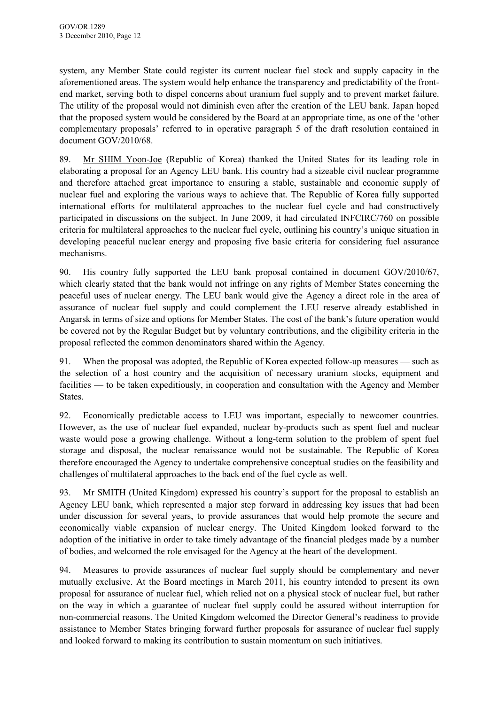system, any Member State could register its current nuclear fuel stock and supply capacity in the aforementioned areas. The system would help enhance the transparency and predictability of the frontend market, serving both to dispel concerns about uranium fuel supply and to prevent market failure. The utility of the proposal would not diminish even after the creation of the LEU bank. Japan hoped that the proposed system would be considered by the Board at an appropriate time, as one of the 'other complementary proposals' referred to in operative paragraph 5 of the draft resolution contained in document GOV/2010/68.

89. Mr SHIM Yoon-Joe (Republic of Korea) thanked the United States for its leading role in elaborating a proposal for an Agency LEU bank. His country had a sizeable civil nuclear programme and therefore attached great importance to ensuring a stable, sustainable and economic supply of nuclear fuel and exploring the various ways to achieve that. The Republic of Korea fully supported international efforts for multilateral approaches to the nuclear fuel cycle and had constructively participated in discussions on the subject. In June 2009, it had circulated INFCIRC/760 on possible criteria for multilateral approaches to the nuclear fuel cycle, outlining his country's unique situation in developing peaceful nuclear energy and proposing five basic criteria for considering fuel assurance mechanisms.

90. His country fully supported the LEU bank proposal contained in document GOV/2010/67, which clearly stated that the bank would not infringe on any rights of Member States concerning the peaceful uses of nuclear energy. The LEU bank would give the Agency a direct role in the area of assurance of nuclear fuel supply and could complement the LEU reserve already established in Angarsk in terms of size and options for Member States. The cost of the bank's future operation would be covered not by the Regular Budget but by voluntary contributions, and the eligibility criteria in the proposal reflected the common denominators shared within the Agency.

91. When the proposal was adopted, the Republic of Korea expected follow-up measures — such as the selection of a host country and the acquisition of necessary uranium stocks, equipment and facilities — to be taken expeditiously, in cooperation and consultation with the Agency and Member States.

92. Economically predictable access to LEU was important, especially to newcomer countries. However, as the use of nuclear fuel expanded, nuclear by-products such as spent fuel and nuclear waste would pose a growing challenge. Without a long-term solution to the problem of spent fuel storage and disposal, the nuclear renaissance would not be sustainable. The Republic of Korea therefore encouraged the Agency to undertake comprehensive conceptual studies on the feasibility and challenges of multilateral approaches to the back end of the fuel cycle as well.

93. Mr SMITH (United Kingdom) expressed his country's support for the proposal to establish an Agency LEU bank, which represented a major step forward in addressing key issues that had been under discussion for several years, to provide assurances that would help promote the secure and economically viable expansion of nuclear energy. The United Kingdom looked forward to the adoption of the initiative in order to take timely advantage of the financial pledges made by a number of bodies, and welcomed the role envisaged for the Agency at the heart of the development.

94. Measures to provide assurances of nuclear fuel supply should be complementary and never mutually exclusive. At the Board meetings in March 2011, his country intended to present its own proposal for assurance of nuclear fuel, which relied not on a physical stock of nuclear fuel, but rather on the way in which a guarantee of nuclear fuel supply could be assured without interruption for non-commercial reasons. The United Kingdom welcomed the Director General's readiness to provide assistance to Member States bringing forward further proposals for assurance of nuclear fuel supply and looked forward to making its contribution to sustain momentum on such initiatives.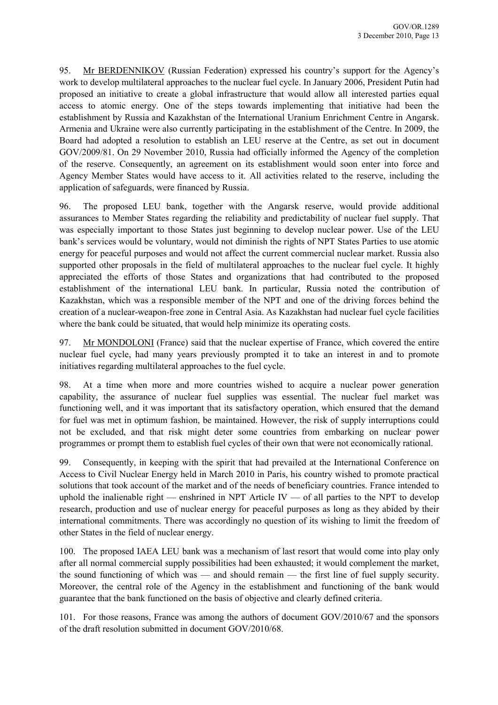95. Mr BERDENNIKOV (Russian Federation) expressed his country's support for the Agency's work to develop multilateral approaches to the nuclear fuel cycle. In January 2006, President Putin had proposed an initiative to create a global infrastructure that would allow all interested parties equal access to atomic energy. One of the steps towards implementing that initiative had been the establishment by Russia and Kazakhstan of the International Uranium Enrichment Centre in Angarsk. Armenia and Ukraine were also currently participating in the establishment of the Centre. In 2009, the Board had adopted a resolution to establish an LEU reserve at the Centre, as set out in document GOV/2009/81. On 29 November 2010, Russia had officially informed the Agency of the completion of the reserve. Consequently, an agreement on its establishment would soon enter into force and Agency Member States would have access to it. All activities related to the reserve, including the application of safeguards, were financed by Russia.

96. The proposed LEU bank, together with the Angarsk reserve, would provide additional assurances to Member States regarding the reliability and predictability of nuclear fuel supply. That was especially important to those States just beginning to develop nuclear power. Use of the LEU bank's services would be voluntary, would not diminish the rights of NPT States Parties to use atomic energy for peaceful purposes and would not affect the current commercial nuclear market. Russia also supported other proposals in the field of multilateral approaches to the nuclear fuel cycle. It highly appreciated the efforts of those States and organizations that had contributed to the proposed establishment of the international LEU bank. In particular, Russia noted the contribution of Kazakhstan, which was a responsible member of the NPT and one of the driving forces behind the creation of a nuclear-weapon-free zone in Central Asia. As Kazakhstan had nuclear fuel cycle facilities where the bank could be situated, that would help minimize its operating costs.

97. Mr MONDOLONI (France) said that the nuclear expertise of France, which covered the entire nuclear fuel cycle, had many years previously prompted it to take an interest in and to promote initiatives regarding multilateral approaches to the fuel cycle.

98. At a time when more and more countries wished to acquire a nuclear power generation capability, the assurance of nuclear fuel supplies was essential. The nuclear fuel market was functioning well, and it was important that its satisfactory operation, which ensured that the demand for fuel was met in optimum fashion, be maintained. However, the risk of supply interruptions could not be excluded, and that risk might deter some countries from embarking on nuclear power programmes or prompt them to establish fuel cycles of their own that were not economically rational.

99. Consequently, in keeping with the spirit that had prevailed at the International Conference on Access to Civil Nuclear Energy held in March 2010 in Paris, his country wished to promote practical solutions that took account of the market and of the needs of beneficiary countries. France intended to uphold the inalienable right — enshrined in NPT Article IV — of all parties to the NPT to develop research, production and use of nuclear energy for peaceful purposes as long as they abided by their international commitments. There was accordingly no question of its wishing to limit the freedom of other States in the field of nuclear energy.

100. The proposed IAEA LEU bank was a mechanism of last resort that would come into play only after all normal commercial supply possibilities had been exhausted; it would complement the market, the sound functioning of which was — and should remain — the first line of fuel supply security. Moreover, the central role of the Agency in the establishment and functioning of the bank would guarantee that the bank functioned on the basis of objective and clearly defined criteria.

101. For those reasons, France was among the authors of document GOV/2010/67 and the sponsors of the draft resolution submitted in document GOV/2010/68.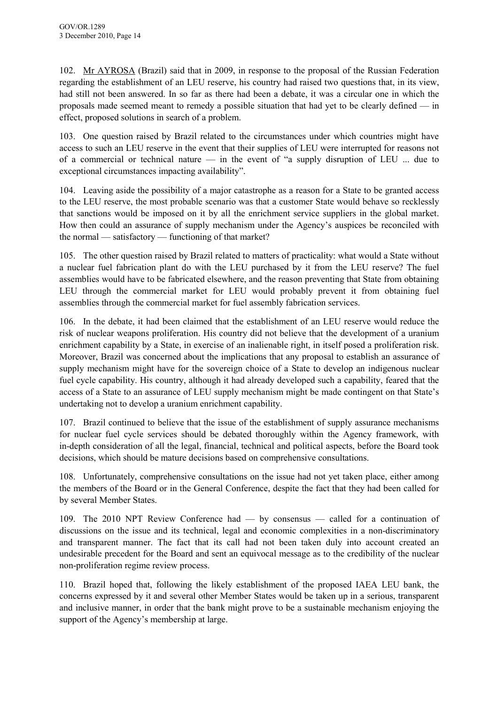102. Mr AYROSA (Brazil) said that in 2009, in response to the proposal of the Russian Federation regarding the establishment of an LEU reserve, his country had raised two questions that, in its view, had still not been answered. In so far as there had been a debate, it was a circular one in which the proposals made seemed meant to remedy a possible situation that had yet to be clearly defined — in effect, proposed solutions in search of a problem.

103. One question raised by Brazil related to the circumstances under which countries might have access to such an LEU reserve in the event that their supplies of LEU were interrupted for reasons not of a commercial or technical nature — in the event of "a supply disruption of LEU ... due to exceptional circumstances impacting availability".

104. Leaving aside the possibility of a major catastrophe as a reason for a State to be granted access to the LEU reserve, the most probable scenario was that a customer State would behave so recklessly that sanctions would be imposed on it by all the enrichment service suppliers in the global market. How then could an assurance of supply mechanism under the Agency's auspices be reconciled with the normal — satisfactory — functioning of that market?

105. The other question raised by Brazil related to matters of practicality: what would a State without a nuclear fuel fabrication plant do with the LEU purchased by it from the LEU reserve? The fuel assemblies would have to be fabricated elsewhere, and the reason preventing that State from obtaining LEU through the commercial market for LEU would probably prevent it from obtaining fuel assemblies through the commercial market for fuel assembly fabrication services.

106. In the debate, it had been claimed that the establishment of an LEU reserve would reduce the risk of nuclear weapons proliferation. His country did not believe that the development of a uranium enrichment capability by a State, in exercise of an inalienable right, in itself posed a proliferation risk. Moreover, Brazil was concerned about the implications that any proposal to establish an assurance of supply mechanism might have for the sovereign choice of a State to develop an indigenous nuclear fuel cycle capability. His country, although it had already developed such a capability, feared that the access of a State to an assurance of LEU supply mechanism might be made contingent on that State's undertaking not to develop a uranium enrichment capability.

107. Brazil continued to believe that the issue of the establishment of supply assurance mechanisms for nuclear fuel cycle services should be debated thoroughly within the Agency framework, with in-depth consideration of all the legal, financial, technical and political aspects, before the Board took decisions, which should be mature decisions based on comprehensive consultations.

108. Unfortunately, comprehensive consultations on the issue had not yet taken place, either among the members of the Board or in the General Conference, despite the fact that they had been called for by several Member States.

109. The 2010 NPT Review Conference had — by consensus — called for a continuation of discussions on the issue and its technical, legal and economic complexities in a non-discriminatory and transparent manner. The fact that its call had not been taken duly into account created an undesirable precedent for the Board and sent an equivocal message as to the credibility of the nuclear non-proliferation regime review process.

110. Brazil hoped that, following the likely establishment of the proposed IAEA LEU bank, the concerns expressed by it and several other Member States would be taken up in a serious, transparent and inclusive manner, in order that the bank might prove to be a sustainable mechanism enjoying the support of the Agency's membership at large.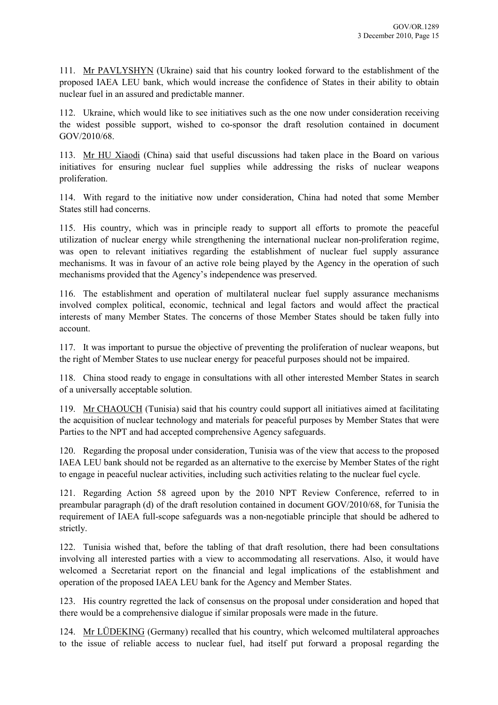111. Mr PAVLYSHYN (Ukraine) said that his country looked forward to the establishment of the proposed IAEA LEU bank, which would increase the confidence of States in their ability to obtain nuclear fuel in an assured and predictable manner.

112. Ukraine, which would like to see initiatives such as the one now under consideration receiving the widest possible support, wished to co-sponsor the draft resolution contained in document GOV/2010/68.

113. Mr HU Xiaodi (China) said that useful discussions had taken place in the Board on various initiatives for ensuring nuclear fuel supplies while addressing the risks of nuclear weapons proliferation.

114. With regard to the initiative now under consideration, China had noted that some Member States still had concerns.

115. His country, which was in principle ready to support all efforts to promote the peaceful utilization of nuclear energy while strengthening the international nuclear non-proliferation regime, was open to relevant initiatives regarding the establishment of nuclear fuel supply assurance mechanisms. It was in favour of an active role being played by the Agency in the operation of such mechanisms provided that the Agency's independence was preserved.

116. The establishment and operation of multilateral nuclear fuel supply assurance mechanisms involved complex political, economic, technical and legal factors and would affect the practical interests of many Member States. The concerns of those Member States should be taken fully into account.

117. It was important to pursue the objective of preventing the proliferation of nuclear weapons, but the right of Member States to use nuclear energy for peaceful purposes should not be impaired.

118. China stood ready to engage in consultations with all other interested Member States in search of a universally acceptable solution.

119. Mr CHAOUCH (Tunisia) said that his country could support all initiatives aimed at facilitating the acquisition of nuclear technology and materials for peaceful purposes by Member States that were Parties to the NPT and had accepted comprehensive Agency safeguards.

120. Regarding the proposal under consideration, Tunisia was of the view that access to the proposed IAEA LEU bank should not be regarded as an alternative to the exercise by Member States of the right to engage in peaceful nuclear activities, including such activities relating to the nuclear fuel cycle.

121. Regarding Action 58 agreed upon by the 2010 NPT Review Conference, referred to in preambular paragraph (d) of the draft resolution contained in document GOV/2010/68, for Tunisia the requirement of IAEA full-scope safeguards was a non-negotiable principle that should be adhered to strictly.

122. Tunisia wished that, before the tabling of that draft resolution, there had been consultations involving all interested parties with a view to accommodating all reservations. Also, it would have welcomed a Secretariat report on the financial and legal implications of the establishment and operation of the proposed IAEA LEU bank for the Agency and Member States.

123. His country regretted the lack of consensus on the proposal under consideration and hoped that there would be a comprehensive dialogue if similar proposals were made in the future.

124. Mr LÜDEKING (Germany) recalled that his country, which welcomed multilateral approaches to the issue of reliable access to nuclear fuel, had itself put forward a proposal regarding the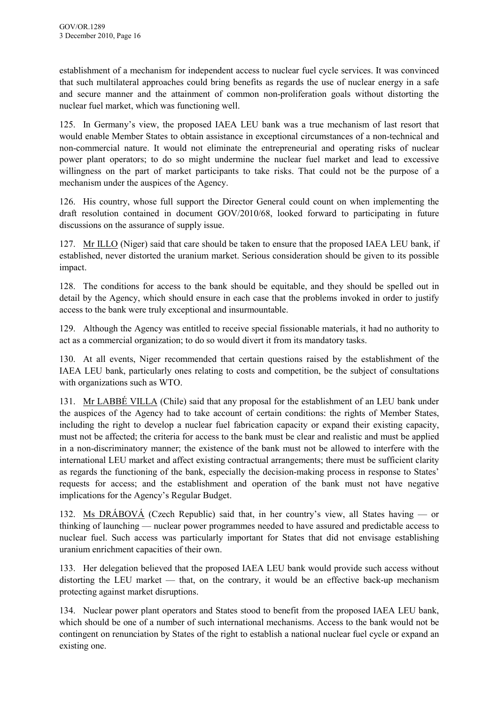establishment of a mechanism for independent access to nuclear fuel cycle services. It was convinced that such multilateral approaches could bring benefits as regards the use of nuclear energy in a safe and secure manner and the attainment of common non-proliferation goals without distorting the nuclear fuel market, which was functioning well.

125. In Germany's view, the proposed IAEA LEU bank was a true mechanism of last resort that would enable Member States to obtain assistance in exceptional circumstances of a non-technical and non-commercial nature. It would not eliminate the entrepreneurial and operating risks of nuclear power plant operators; to do so might undermine the nuclear fuel market and lead to excessive willingness on the part of market participants to take risks. That could not be the purpose of a mechanism under the auspices of the Agency.

126. His country, whose full support the Director General could count on when implementing the draft resolution contained in document GOV/2010/68, looked forward to participating in future discussions on the assurance of supply issue.

127. Mr ILLO (Niger) said that care should be taken to ensure that the proposed IAEA LEU bank, if established, never distorted the uranium market. Serious consideration should be given to its possible impact.

128. The conditions for access to the bank should be equitable, and they should be spelled out in detail by the Agency, which should ensure in each case that the problems invoked in order to justify access to the bank were truly exceptional and insurmountable.

129. Although the Agency was entitled to receive special fissionable materials, it had no authority to act as a commercial organization; to do so would divert it from its mandatory tasks.

130. At all events, Niger recommended that certain questions raised by the establishment of the IAEA LEU bank, particularly ones relating to costs and competition, be the subject of consultations with organizations such as WTO.

131. Mr LABBÉ VILLA (Chile) said that any proposal for the establishment of an LEU bank under the auspices of the Agency had to take account of certain conditions: the rights of Member States, including the right to develop a nuclear fuel fabrication capacity or expand their existing capacity, must not be affected; the criteria for access to the bank must be clear and realistic and must be applied in a non-discriminatory manner; the existence of the bank must not be allowed to interfere with the international LEU market and affect existing contractual arrangements; there must be sufficient clarity as regards the functioning of the bank, especially the decision-making process in response to States' requests for access; and the establishment and operation of the bank must not have negative implications for the Agency's Regular Budget.

132. Ms DRÁBOVÁ (Czech Republic) said that, in her country's view, all States having — or thinking of launching — nuclear power programmes needed to have assured and predictable access to nuclear fuel. Such access was particularly important for States that did not envisage establishing uranium enrichment capacities of their own.

133. Her delegation believed that the proposed IAEA LEU bank would provide such access without distorting the LEU market — that, on the contrary, it would be an effective back-up mechanism protecting against market disruptions.

134. Nuclear power plant operators and States stood to benefit from the proposed IAEA LEU bank, which should be one of a number of such international mechanisms. Access to the bank would not be contingent on renunciation by States of the right to establish a national nuclear fuel cycle or expand an existing one.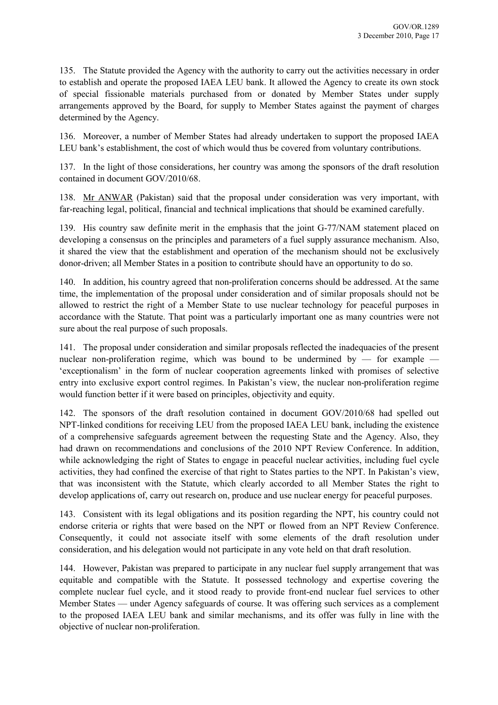135. The Statute provided the Agency with the authority to carry out the activities necessary in order to establish and operate the proposed IAEA LEU bank. It allowed the Agency to create its own stock of special fissionable materials purchased from or donated by Member States under supply arrangements approved by the Board, for supply to Member States against the payment of charges determined by the Agency.

136. Moreover, a number of Member States had already undertaken to support the proposed IAEA LEU bank's establishment, the cost of which would thus be covered from voluntary contributions.

137. In the light of those considerations, her country was among the sponsors of the draft resolution contained in document GOV/2010/68.

138. Mr ANWAR (Pakistan) said that the proposal under consideration was very important, with far-reaching legal, political, financial and technical implications that should be examined carefully.

139. His country saw definite merit in the emphasis that the joint G-77/NAM statement placed on developing a consensus on the principles and parameters of a fuel supply assurance mechanism. Also, it shared the view that the establishment and operation of the mechanism should not be exclusively donor-driven; all Member States in a position to contribute should have an opportunity to do so.

140. In addition, his country agreed that non-proliferation concerns should be addressed. At the same time, the implementation of the proposal under consideration and of similar proposals should not be allowed to restrict the right of a Member State to use nuclear technology for peaceful purposes in accordance with the Statute. That point was a particularly important one as many countries were not sure about the real purpose of such proposals.

141. The proposal under consideration and similar proposals reflected the inadequacies of the present nuclear non-proliferation regime, which was bound to be undermined by  $-$  for example  $-$ 'exceptionalism' in the form of nuclear cooperation agreements linked with promises of selective entry into exclusive export control regimes. In Pakistan's view, the nuclear non-proliferation regime would function better if it were based on principles, objectivity and equity.

142. The sponsors of the draft resolution contained in document GOV/2010/68 had spelled out NPT-linked conditions for receiving LEU from the proposed IAEA LEU bank, including the existence of a comprehensive safeguards agreement between the requesting State and the Agency. Also, they had drawn on recommendations and conclusions of the 2010 NPT Review Conference. In addition, while acknowledging the right of States to engage in peaceful nuclear activities, including fuel cycle activities, they had confined the exercise of that right to States parties to the NPT. In Pakistan's view, that was inconsistent with the Statute, which clearly accorded to all Member States the right to develop applications of, carry out research on, produce and use nuclear energy for peaceful purposes.

143. Consistent with its legal obligations and its position regarding the NPT, his country could not endorse criteria or rights that were based on the NPT or flowed from an NPT Review Conference. Consequently, it could not associate itself with some elements of the draft resolution under consideration, and his delegation would not participate in any vote held on that draft resolution.

144. However, Pakistan was prepared to participate in any nuclear fuel supply arrangement that was equitable and compatible with the Statute. It possessed technology and expertise covering the complete nuclear fuel cycle, and it stood ready to provide front-end nuclear fuel services to other Member States — under Agency safeguards of course. It was offering such services as a complement to the proposed IAEA LEU bank and similar mechanisms, and its offer was fully in line with the objective of nuclear non-proliferation.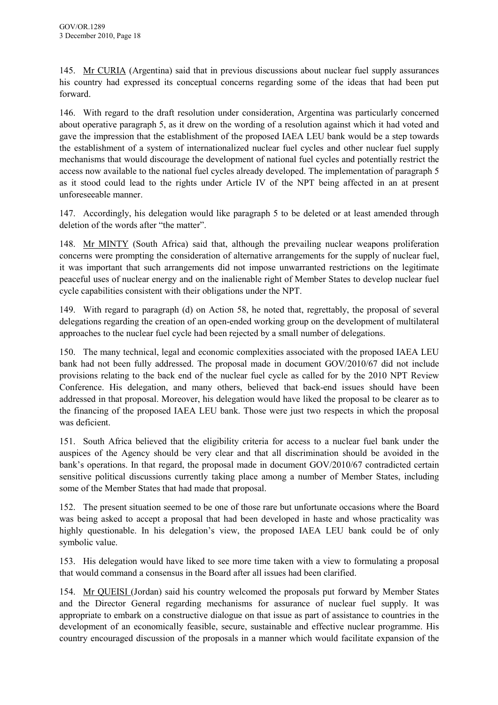145. Mr CURIA (Argentina) said that in previous discussions about nuclear fuel supply assurances his country had expressed its conceptual concerns regarding some of the ideas that had been put forward.

146. With regard to the draft resolution under consideration, Argentina was particularly concerned about operative paragraph 5, as it drew on the wording of a resolution against which it had voted and gave the impression that the establishment of the proposed IAEA LEU bank would be a step towards the establishment of a system of internationalized nuclear fuel cycles and other nuclear fuel supply mechanisms that would discourage the development of national fuel cycles and potentially restrict the access now available to the national fuel cycles already developed. The implementation of paragraph 5 as it stood could lead to the rights under Article IV of the NPT being affected in an at present unforeseeable manner.

147. Accordingly, his delegation would like paragraph 5 to be deleted or at least amended through deletion of the words after "the matter".

148. Mr MINTY (South Africa) said that, although the prevailing nuclear weapons proliferation concerns were prompting the consideration of alternative arrangements for the supply of nuclear fuel, it was important that such arrangements did not impose unwarranted restrictions on the legitimate peaceful uses of nuclear energy and on the inalienable right of Member States to develop nuclear fuel cycle capabilities consistent with their obligations under the NPT.

149. With regard to paragraph (d) on Action 58, he noted that, regrettably, the proposal of several delegations regarding the creation of an open-ended working group on the development of multilateral approaches to the nuclear fuel cycle had been rejected by a small number of delegations.

150. The many technical, legal and economic complexities associated with the proposed IAEA LEU bank had not been fully addressed. The proposal made in document GOV/2010/67 did not include provisions relating to the back end of the nuclear fuel cycle as called for by the 2010 NPT Review Conference. His delegation, and many others, believed that back-end issues should have been addressed in that proposal. Moreover, his delegation would have liked the proposal to be clearer as to the financing of the proposed IAEA LEU bank. Those were just two respects in which the proposal was deficient.

151. South Africa believed that the eligibility criteria for access to a nuclear fuel bank under the auspices of the Agency should be very clear and that all discrimination should be avoided in the bank's operations. In that regard, the proposal made in document GOV/2010/67 contradicted certain sensitive political discussions currently taking place among a number of Member States, including some of the Member States that had made that proposal.

152. The present situation seemed to be one of those rare but unfortunate occasions where the Board was being asked to accept a proposal that had been developed in haste and whose practicality was highly questionable. In his delegation's view, the proposed IAEA LEU bank could be of only symbolic value.

153. His delegation would have liked to see more time taken with a view to formulating a proposal that would command a consensus in the Board after all issues had been clarified.

154. Mr QUEISI (Jordan) said his country welcomed the proposals put forward by Member States and the Director General regarding mechanisms for assurance of nuclear fuel supply. It was appropriate to embark on a constructive dialogue on that issue as part of assistance to countries in the development of an economically feasible, secure, sustainable and effective nuclear programme. His country encouraged discussion of the proposals in a manner which would facilitate expansion of the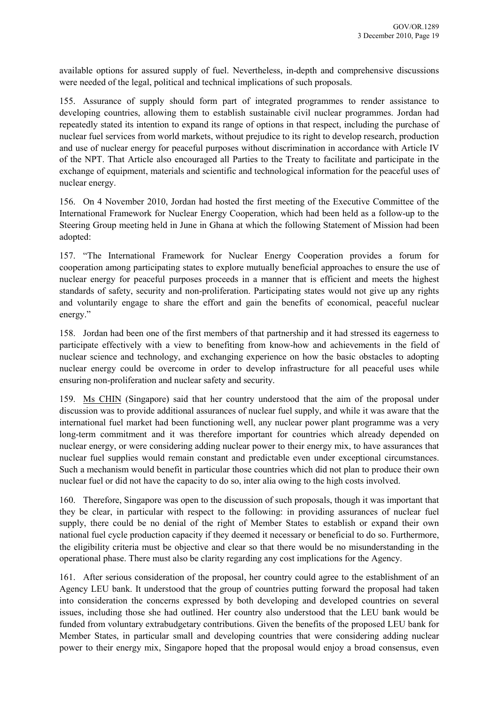available options for assured supply of fuel. Nevertheless, in-depth and comprehensive discussions were needed of the legal, political and technical implications of such proposals.

155. Assurance of supply should form part of integrated programmes to render assistance to developing countries, allowing them to establish sustainable civil nuclear programmes. Jordan had repeatedly stated its intention to expand its range of options in that respect, including the purchase of nuclear fuel services from world markets, without prejudice to its right to develop research, production and use of nuclear energy for peaceful purposes without discrimination in accordance with Article IV of the NPT. That Article also encouraged all Parties to the Treaty to facilitate and participate in the exchange of equipment, materials and scientific and technological information for the peaceful uses of nuclear energy.

156. On 4 November 2010, Jordan had hosted the first meeting of the Executive Committee of the International Framework for Nuclear Energy Cooperation, which had been held as a follow-up to the Steering Group meeting held in June in Ghana at which the following Statement of Mission had been adopted:

157. "The International Framework for Nuclear Energy Cooperation provides a forum for cooperation among participating states to explore mutually beneficial approaches to ensure the use of nuclear energy for peaceful purposes proceeds in a manner that is efficient and meets the highest standards of safety, security and non-proliferation. Participating states would not give up any rights and voluntarily engage to share the effort and gain the benefits of economical, peaceful nuclear energy."

158. Jordan had been one of the first members of that partnership and it had stressed its eagerness to participate effectively with a view to benefiting from know-how and achievements in the field of nuclear science and technology, and exchanging experience on how the basic obstacles to adopting nuclear energy could be overcome in order to develop infrastructure for all peaceful uses while ensuring non-proliferation and nuclear safety and security.

159. Ms CHIN (Singapore) said that her country understood that the aim of the proposal under discussion was to provide additional assurances of nuclear fuel supply, and while it was aware that the international fuel market had been functioning well, any nuclear power plant programme was a very long-term commitment and it was therefore important for countries which already depended on nuclear energy, or were considering adding nuclear power to their energy mix, to have assurances that nuclear fuel supplies would remain constant and predictable even under exceptional circumstances. Such a mechanism would benefit in particular those countries which did not plan to produce their own nuclear fuel or did not have the capacity to do so, inter alia owing to the high costs involved.

160. Therefore, Singapore was open to the discussion of such proposals, though it was important that they be clear, in particular with respect to the following: in providing assurances of nuclear fuel supply, there could be no denial of the right of Member States to establish or expand their own national fuel cycle production capacity if they deemed it necessary or beneficial to do so. Furthermore, the eligibility criteria must be objective and clear so that there would be no misunderstanding in the operational phase. There must also be clarity regarding any cost implications for the Agency.

161. After serious consideration of the proposal, her country could agree to the establishment of an Agency LEU bank. It understood that the group of countries putting forward the proposal had taken into consideration the concerns expressed by both developing and developed countries on several issues, including those she had outlined. Her country also understood that the LEU bank would be funded from voluntary extrabudgetary contributions. Given the benefits of the proposed LEU bank for Member States, in particular small and developing countries that were considering adding nuclear power to their energy mix, Singapore hoped that the proposal would enjoy a broad consensus, even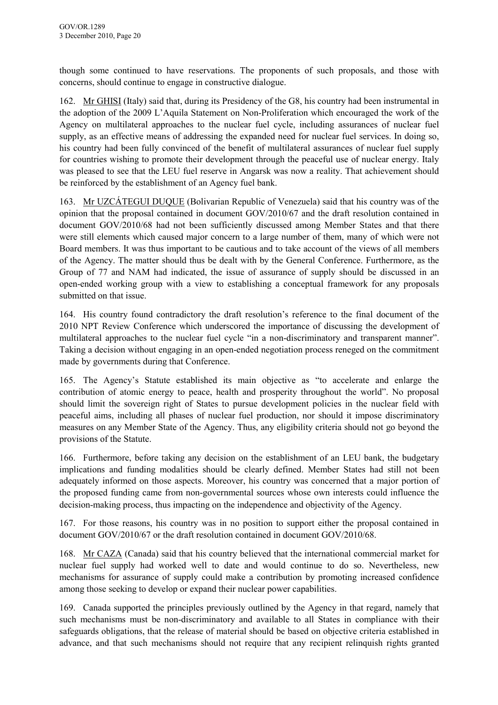though some continued to have reservations. The proponents of such proposals, and those with concerns, should continue to engage in constructive dialogue.

162. Mr GHISI (Italy) said that, during its Presidency of the G8, his country had been instrumental in the adoption of the 2009 L'Aquila Statement on Non-Proliferation which encouraged the work of the Agency on multilateral approaches to the nuclear fuel cycle, including assurances of nuclear fuel supply, as an effective means of addressing the expanded need for nuclear fuel services. In doing so, his country had been fully convinced of the benefit of multilateral assurances of nuclear fuel supply for countries wishing to promote their development through the peaceful use of nuclear energy. Italy was pleased to see that the LEU fuel reserve in Angarsk was now a reality. That achievement should be reinforced by the establishment of an Agency fuel bank.

163. Mr UZCÁTEGUI DUQUE (Bolivarian Republic of Venezuela) said that his country was of the opinion that the proposal contained in document GOV/2010/67 and the draft resolution contained in document GOV/2010/68 had not been sufficiently discussed among Member States and that there were still elements which caused major concern to a large number of them, many of which were not Board members. It was thus important to be cautious and to take account of the views of all members of the Agency. The matter should thus be dealt with by the General Conference. Furthermore, as the Group of 77 and NAM had indicated, the issue of assurance of supply should be discussed in an open-ended working group with a view to establishing a conceptual framework for any proposals submitted on that issue.

164. His country found contradictory the draft resolution's reference to the final document of the 2010 NPT Review Conference which underscored the importance of discussing the development of multilateral approaches to the nuclear fuel cycle "in a non-discriminatory and transparent manner". Taking a decision without engaging in an open-ended negotiation process reneged on the commitment made by governments during that Conference.

165. The Agency's Statute established its main objective as "to accelerate and enlarge the contribution of atomic energy to peace, health and prosperity throughout the world". No proposal should limit the sovereign right of States to pursue development policies in the nuclear field with peaceful aims, including all phases of nuclear fuel production, nor should it impose discriminatory measures on any Member State of the Agency. Thus, any eligibility criteria should not go beyond the provisions of the Statute.

166. Furthermore, before taking any decision on the establishment of an LEU bank, the budgetary implications and funding modalities should be clearly defined. Member States had still not been adequately informed on those aspects. Moreover, his country was concerned that a major portion of the proposed funding came from non-governmental sources whose own interests could influence the decision-making process, thus impacting on the independence and objectivity of the Agency.

167. For those reasons, his country was in no position to support either the proposal contained in document GOV/2010/67 or the draft resolution contained in document GOV/2010/68.

168. Mr CAZA (Canada) said that his country believed that the international commercial market for nuclear fuel supply had worked well to date and would continue to do so. Nevertheless, new mechanisms for assurance of supply could make a contribution by promoting increased confidence among those seeking to develop or expand their nuclear power capabilities.

169. Canada supported the principles previously outlined by the Agency in that regard, namely that such mechanisms must be non-discriminatory and available to all States in compliance with their safeguards obligations, that the release of material should be based on objective criteria established in advance, and that such mechanisms should not require that any recipient relinquish rights granted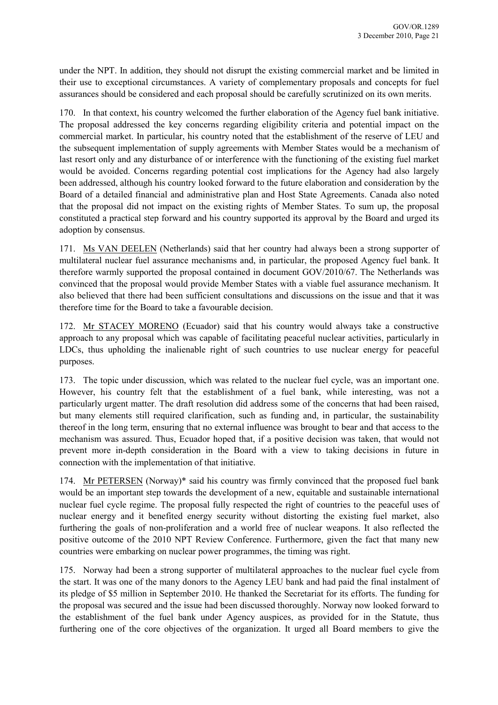under the NPT. In addition, they should not disrupt the existing commercial market and be limited in their use to exceptional circumstances. A variety of complementary proposals and concepts for fuel assurances should be considered and each proposal should be carefully scrutinized on its own merits.

170. In that context, his country welcomed the further elaboration of the Agency fuel bank initiative. The proposal addressed the key concerns regarding eligibility criteria and potential impact on the commercial market. In particular, his country noted that the establishment of the reserve of LEU and the subsequent implementation of supply agreements with Member States would be a mechanism of last resort only and any disturbance of or interference with the functioning of the existing fuel market would be avoided. Concerns regarding potential cost implications for the Agency had also largely been addressed, although his country looked forward to the future elaboration and consideration by the Board of a detailed financial and administrative plan and Host State Agreements. Canada also noted that the proposal did not impact on the existing rights of Member States. To sum up, the proposal constituted a practical step forward and his country supported its approval by the Board and urged its adoption by consensus.

171. Ms VAN DEELEN (Netherlands) said that her country had always been a strong supporter of multilateral nuclear fuel assurance mechanisms and, in particular, the proposed Agency fuel bank. It therefore warmly supported the proposal contained in document GOV/2010/67. The Netherlands was convinced that the proposal would provide Member States with a viable fuel assurance mechanism. It also believed that there had been sufficient consultations and discussions on the issue and that it was therefore time for the Board to take a favourable decision.

172. Mr STACEY MORENO (Ecuador) said that his country would always take a constructive approach to any proposal which was capable of facilitating peaceful nuclear activities, particularly in LDCs, thus upholding the inalienable right of such countries to use nuclear energy for peaceful purposes.

173. The topic under discussion, which was related to the nuclear fuel cycle, was an important one. However, his country felt that the establishment of a fuel bank, while interesting, was not a particularly urgent matter. The draft resolution did address some of the concerns that had been raised, but many elements still required clarification, such as funding and, in particular, the sustainability thereof in the long term, ensuring that no external influence was brought to bear and that access to the mechanism was assured. Thus, Ecuador hoped that, if a positive decision was taken, that would not prevent more in-depth consideration in the Board with a view to taking decisions in future in connection with the implementation of that initiative.

174. Mr PETERSEN (Norway)\* said his country was firmly convinced that the proposed fuel bank would be an important step towards the development of a new, equitable and sustainable international nuclear fuel cycle regime. The proposal fully respected the right of countries to the peaceful uses of nuclear energy and it benefited energy security without distorting the existing fuel market, also furthering the goals of non-proliferation and a world free of nuclear weapons. It also reflected the positive outcome of the 2010 NPT Review Conference. Furthermore, given the fact that many new countries were embarking on nuclear power programmes, the timing was right.

175. Norway had been a strong supporter of multilateral approaches to the nuclear fuel cycle from the start. It was one of the many donors to the Agency LEU bank and had paid the final instalment of its pledge of \$5 million in September 2010. He thanked the Secretariat for its efforts. The funding for the proposal was secured and the issue had been discussed thoroughly. Norway now looked forward to the establishment of the fuel bank under Agency auspices, as provided for in the Statute, thus furthering one of the core objectives of the organization. It urged all Board members to give the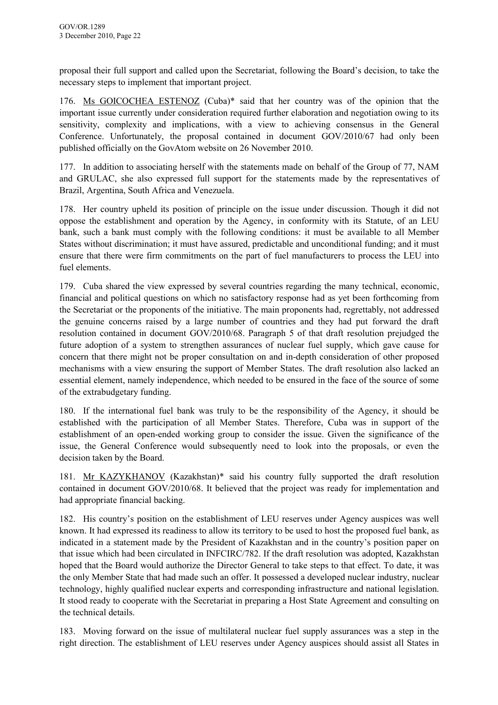proposal their full support and called upon the Secretariat, following the Board's decision, to take the necessary steps to implement that important project.

176. Ms GOICOCHEA ESTENOZ (Cuba)\* said that her country was of the opinion that the important issue currently under consideration required further elaboration and negotiation owing to its sensitivity, complexity and implications, with a view to achieving consensus in the General Conference. Unfortunately, the proposal contained in document GOV/2010/67 had only been published officially on the GovAtom website on 26 November 2010.

177. In addition to associating herself with the statements made on behalf of the Group of 77, NAM and GRULAC, she also expressed full support for the statements made by the representatives of Brazil, Argentina, South Africa and Venezuela.

178. Her country upheld its position of principle on the issue under discussion. Though it did not oppose the establishment and operation by the Agency, in conformity with its Statute, of an LEU bank, such a bank must comply with the following conditions: it must be available to all Member States without discrimination; it must have assured, predictable and unconditional funding; and it must ensure that there were firm commitments on the part of fuel manufacturers to process the LEU into fuel elements.

179. Cuba shared the view expressed by several countries regarding the many technical, economic, financial and political questions on which no satisfactory response had as yet been forthcoming from the Secretariat or the proponents of the initiative. The main proponents had, regrettably, not addressed the genuine concerns raised by a large number of countries and they had put forward the draft resolution contained in document GOV/2010/68. Paragraph 5 of that draft resolution prejudged the future adoption of a system to strengthen assurances of nuclear fuel supply, which gave cause for concern that there might not be proper consultation on and in-depth consideration of other proposed mechanisms with a view ensuring the support of Member States. The draft resolution also lacked an essential element, namely independence, which needed to be ensured in the face of the source of some of the extrabudgetary funding.

180. If the international fuel bank was truly to be the responsibility of the Agency, it should be established with the participation of all Member States. Therefore, Cuba was in support of the establishment of an open-ended working group to consider the issue. Given the significance of the issue, the General Conference would subsequently need to look into the proposals, or even the decision taken by the Board.

181. Mr KAZYKHANOV (Kazakhstan)\* said his country fully supported the draft resolution contained in document GOV/2010/68. It believed that the project was ready for implementation and had appropriate financial backing.

182. His country's position on the establishment of LEU reserves under Agency auspices was well known. It had expressed its readiness to allow its territory to be used to host the proposed fuel bank, as indicated in a statement made by the President of Kazakhstan and in the country's position paper on that issue which had been circulated in INFCIRC/782. If the draft resolution was adopted, Kazakhstan hoped that the Board would authorize the Director General to take steps to that effect. To date, it was the only Member State that had made such an offer. It possessed a developed nuclear industry, nuclear technology, highly qualified nuclear experts and corresponding infrastructure and national legislation. It stood ready to cooperate with the Secretariat in preparing a Host State Agreement and consulting on the technical details.

183. Moving forward on the issue of multilateral nuclear fuel supply assurances was a step in the right direction. The establishment of LEU reserves under Agency auspices should assist all States in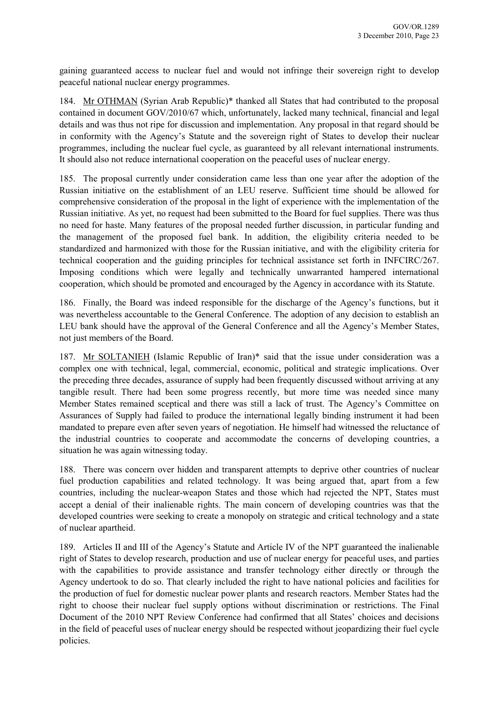gaining guaranteed access to nuclear fuel and would not infringe their sovereign right to develop peaceful national nuclear energy programmes.

184. Mr OTHMAN (Syrian Arab Republic)\* thanked all States that had contributed to the proposal contained in document GOV/2010/67 which, unfortunately, lacked many technical, financial and legal details and was thus not ripe for discussion and implementation. Any proposal in that regard should be in conformity with the Agency's Statute and the sovereign right of States to develop their nuclear programmes, including the nuclear fuel cycle, as guaranteed by all relevant international instruments. It should also not reduce international cooperation on the peaceful uses of nuclear energy.

185. The proposal currently under consideration came less than one year after the adoption of the Russian initiative on the establishment of an LEU reserve. Sufficient time should be allowed for comprehensive consideration of the proposal in the light of experience with the implementation of the Russian initiative. As yet, no request had been submitted to the Board for fuel supplies. There was thus no need for haste. Many features of the proposal needed further discussion, in particular funding and the management of the proposed fuel bank. In addition, the eligibility criteria needed to be standardized and harmonized with those for the Russian initiative, and with the eligibility criteria for technical cooperation and the guiding principles for technical assistance set forth in INFCIRC/267. Imposing conditions which were legally and technically unwarranted hampered international cooperation, which should be promoted and encouraged by the Agency in accordance with its Statute.

186. Finally, the Board was indeed responsible for the discharge of the Agency's functions, but it was nevertheless accountable to the General Conference. The adoption of any decision to establish an LEU bank should have the approval of the General Conference and all the Agency's Member States, not just members of the Board.

187. Mr SOLTANIEH (Islamic Republic of Iran)\* said that the issue under consideration was a complex one with technical, legal, commercial, economic, political and strategic implications. Over the preceding three decades, assurance of supply had been frequently discussed without arriving at any tangible result. There had been some progress recently, but more time was needed since many Member States remained sceptical and there was still a lack of trust. The Agency's Committee on Assurances of Supply had failed to produce the international legally binding instrument it had been mandated to prepare even after seven years of negotiation. He himself had witnessed the reluctance of the industrial countries to cooperate and accommodate the concerns of developing countries, a situation he was again witnessing today.

188. There was concern over hidden and transparent attempts to deprive other countries of nuclear fuel production capabilities and related technology. It was being argued that, apart from a few countries, including the nuclear-weapon States and those which had rejected the NPT, States must accept a denial of their inalienable rights. The main concern of developing countries was that the developed countries were seeking to create a monopoly on strategic and critical technology and a state of nuclear apartheid.

189. Articles II and III of the Agency's Statute and Article IV of the NPT guaranteed the inalienable right of States to develop research, production and use of nuclear energy for peaceful uses, and parties with the capabilities to provide assistance and transfer technology either directly or through the Agency undertook to do so. That clearly included the right to have national policies and facilities for the production of fuel for domestic nuclear power plants and research reactors. Member States had the right to choose their nuclear fuel supply options without discrimination or restrictions. The Final Document of the 2010 NPT Review Conference had confirmed that all States' choices and decisions in the field of peaceful uses of nuclear energy should be respected without jeopardizing their fuel cycle policies.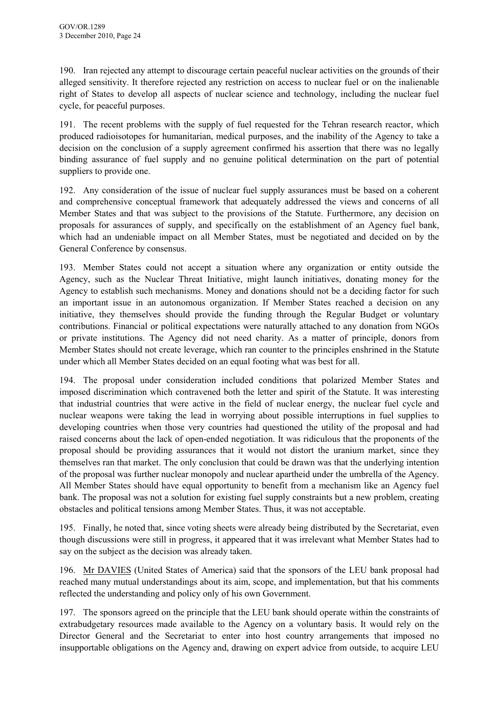190. Iran rejected any attempt to discourage certain peaceful nuclear activities on the grounds of their alleged sensitivity. It therefore rejected any restriction on access to nuclear fuel or on the inalienable right of States to develop all aspects of nuclear science and technology, including the nuclear fuel cycle, for peaceful purposes.

191. The recent problems with the supply of fuel requested for the Tehran research reactor, which produced radioisotopes for humanitarian, medical purposes, and the inability of the Agency to take a decision on the conclusion of a supply agreement confirmed his assertion that there was no legally binding assurance of fuel supply and no genuine political determination on the part of potential suppliers to provide one.

192. Any consideration of the issue of nuclear fuel supply assurances must be based on a coherent and comprehensive conceptual framework that adequately addressed the views and concerns of all Member States and that was subject to the provisions of the Statute. Furthermore, any decision on proposals for assurances of supply, and specifically on the establishment of an Agency fuel bank, which had an undeniable impact on all Member States, must be negotiated and decided on by the General Conference by consensus.

193. Member States could not accept a situation where any organization or entity outside the Agency, such as the Nuclear Threat Initiative, might launch initiatives, donating money for the Agency to establish such mechanisms. Money and donations should not be a deciding factor for such an important issue in an autonomous organization. If Member States reached a decision on any initiative, they themselves should provide the funding through the Regular Budget or voluntary contributions. Financial or political expectations were naturally attached to any donation from NGOs or private institutions. The Agency did not need charity. As a matter of principle, donors from Member States should not create leverage, which ran counter to the principles enshrined in the Statute under which all Member States decided on an equal footing what was best for all.

194. The proposal under consideration included conditions that polarized Member States and imposed discrimination which contravened both the letter and spirit of the Statute. It was interesting that industrial countries that were active in the field of nuclear energy, the nuclear fuel cycle and nuclear weapons were taking the lead in worrying about possible interruptions in fuel supplies to developing countries when those very countries had questioned the utility of the proposal and had raised concerns about the lack of open-ended negotiation. It was ridiculous that the proponents of the proposal should be providing assurances that it would not distort the uranium market, since they themselves ran that market. The only conclusion that could be drawn was that the underlying intention of the proposal was further nuclear monopoly and nuclear apartheid under the umbrella of the Agency. All Member States should have equal opportunity to benefit from a mechanism like an Agency fuel bank. The proposal was not a solution for existing fuel supply constraints but a new problem, creating obstacles and political tensions among Member States. Thus, it was not acceptable.

195. Finally, he noted that, since voting sheets were already being distributed by the Secretariat, even though discussions were still in progress, it appeared that it was irrelevant what Member States had to say on the subject as the decision was already taken.

196. Mr DAVIES (United States of America) said that the sponsors of the LEU bank proposal had reached many mutual understandings about its aim, scope, and implementation, but that his comments reflected the understanding and policy only of his own Government.

197. The sponsors agreed on the principle that the LEU bank should operate within the constraints of extrabudgetary resources made available to the Agency on a voluntary basis. It would rely on the Director General and the Secretariat to enter into host country arrangements that imposed no insupportable obligations on the Agency and, drawing on expert advice from outside, to acquire LEU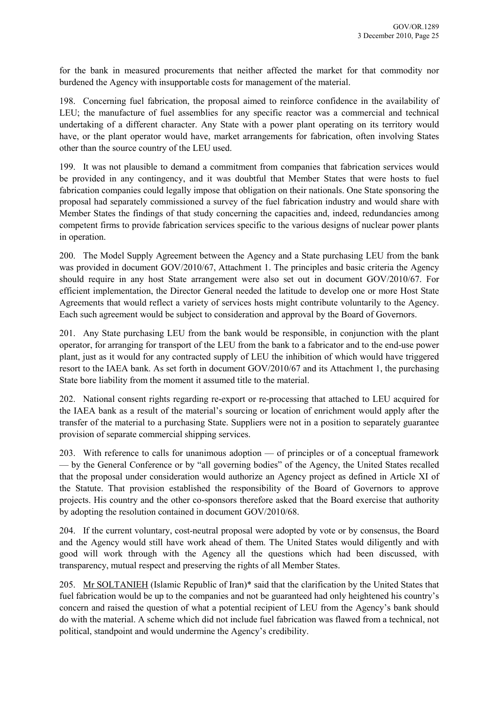for the bank in measured procurements that neither affected the market for that commodity nor burdened the Agency with insupportable costs for management of the material.

198. Concerning fuel fabrication, the proposal aimed to reinforce confidence in the availability of LEU; the manufacture of fuel assemblies for any specific reactor was a commercial and technical undertaking of a different character. Any State with a power plant operating on its territory would have, or the plant operator would have, market arrangements for fabrication, often involving States other than the source country of the LEU used.

199. It was not plausible to demand a commitment from companies that fabrication services would be provided in any contingency, and it was doubtful that Member States that were hosts to fuel fabrication companies could legally impose that obligation on their nationals. One State sponsoring the proposal had separately commissioned a survey of the fuel fabrication industry and would share with Member States the findings of that study concerning the capacities and, indeed, redundancies among competent firms to provide fabrication services specific to the various designs of nuclear power plants in operation.

200. The Model Supply Agreement between the Agency and a State purchasing LEU from the bank was provided in document GOV/2010/67, Attachment 1. The principles and basic criteria the Agency should require in any host State arrangement were also set out in document GOV/2010/67. For efficient implementation, the Director General needed the latitude to develop one or more Host State Agreements that would reflect a variety of services hosts might contribute voluntarily to the Agency. Each such agreement would be subject to consideration and approval by the Board of Governors.

201. Any State purchasing LEU from the bank would be responsible, in conjunction with the plant operator, for arranging for transport of the LEU from the bank to a fabricator and to the end-use power plant, just as it would for any contracted supply of LEU the inhibition of which would have triggered resort to the IAEA bank. As set forth in document GOV/2010/67 and its Attachment 1, the purchasing State bore liability from the moment it assumed title to the material.

202. National consent rights regarding re-export or re-processing that attached to LEU acquired for the IAEA bank as a result of the material's sourcing or location of enrichment would apply after the transfer of the material to a purchasing State. Suppliers were not in a position to separately guarantee provision of separate commercial shipping services.

203. With reference to calls for unanimous adoption — of principles or of a conceptual framework — by the General Conference or by "all governing bodies" of the Agency, the United States recalled that the proposal under consideration would authorize an Agency project as defined in Article XI of the Statute. That provision established the responsibility of the Board of Governors to approve projects. His country and the other co-sponsors therefore asked that the Board exercise that authority by adopting the resolution contained in document GOV/2010/68.

204. If the current voluntary, cost-neutral proposal were adopted by vote or by consensus, the Board and the Agency would still have work ahead of them. The United States would diligently and with good will work through with the Agency all the questions which had been discussed, with transparency, mutual respect and preserving the rights of all Member States.

205. Mr SOLTANIEH (Islamic Republic of Iran)\* said that the clarification by the United States that fuel fabrication would be up to the companies and not be guaranteed had only heightened his country's concern and raised the question of what a potential recipient of LEU from the Agency's bank should do with the material. A scheme which did not include fuel fabrication was flawed from a technical, not political, standpoint and would undermine the Agency's credibility.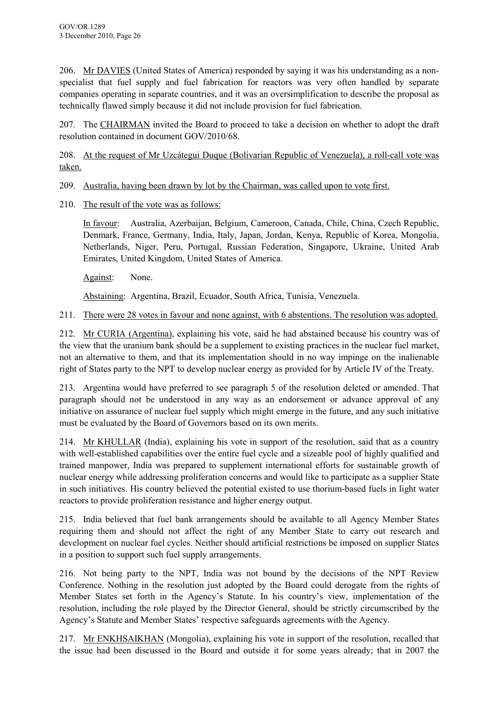206. Mr DAVIES (United States of America) responded by saying it was his understanding as a nonspecialist that fuel supply and fuel fabrication for reactors was very often handled by separate companies operating in separate countries, and it was an oversimplification to describe the proposal as technically flawed simply because it did not include provision for fuel fabrication.

207. The CHAIRMAN invited the Board to proceed to take a decision on whether to adopt the draft resolution contained in document GOV/2010/68.

208. At the request of Mr Uzcátegui Duque (Bolivarian Republic of Venezuela), a roll-call vote was taken.

209. Australia, having been drawn by lot by the Chairman, was called upon to vote first.

210. The result of the vote was as follows:

In favour: Australia, Azerbaijan, Belgium, Cameroon, Canada, Chile, China, Czech Republic, Denmark, France, Germany, India, Italy, Japan, Jordan, Kenya, Republic of Korea, Mongolia, Netherlands, Niger, Peru, Portugal, Russian Federation, Singapore, Ukraine, United Arab Emirates, United Kingdom, United States of America.

Against: None.

Abstaining: Argentina, Brazil, Ecuador, South Africa, Tunisia, Venezuela.

211. There were 28 votes in favour and none against, with 6 abstentions. The resolution was adopted.

212. Mr CURIA (Argentina), explaining his vote, said he had abstained because his country was of the view that the uranium bank should be a supplement to existing practices in the nuclear fuel market, not an alternative to them, and that its implementation should in no way impinge on the inalienable right of States party to the NPT to develop nuclear energy as provided for by Article IV of the Treaty.

213. Argentina would have preferred to see paragraph 5 of the resolution deleted or amended. That paragraph should not be understood in any way as an endorsement or advance approval of any initiative on assurance of nuclear fuel supply which might emerge in the future, and any such initiative must be evaluated by the Board of Governors based on its own merits.

214. Mr KHULLAR (India), explaining his vote in support of the resolution, said that as a country with well-established capabilities over the entire fuel cycle and a sizeable pool of highly qualified and trained manpower, India was prepared to supplement international efforts for sustainable growth of nuclear energy while addressing proliferation concerns and would like to participate as a supplier State in such initiatives. His country believed the potential existed to use thorium-based fuels in light water reactors to provide proliferation resistance and higher energy output.

215. India believed that fuel bank arrangements should be available to all Agency Member States requiring them and should not affect the right of any Member State to carry out research and development on nuclear fuel cycles. Neither should artificial restrictions be imposed on supplier States in a position to support such fuel supply arrangements.

216. Not being party to the NPT, India was not bound by the decisions of the NPT Review Conference. Nothing in the resolution just adopted by the Board could derogate from the rights of Member States set forth in the Agency's Statute. In his country's view, implementation of the resolution, including the role played by the Director General, should be strictly circumscribed by the Agency's Statute and Member States' respective safeguards agreements with the Agency.

217. Mr ENKHSAIKHAN (Mongolia), explaining his vote in support of the resolution, recalled that the issue had been discussed in the Board and outside it for some years already; that in 2007 the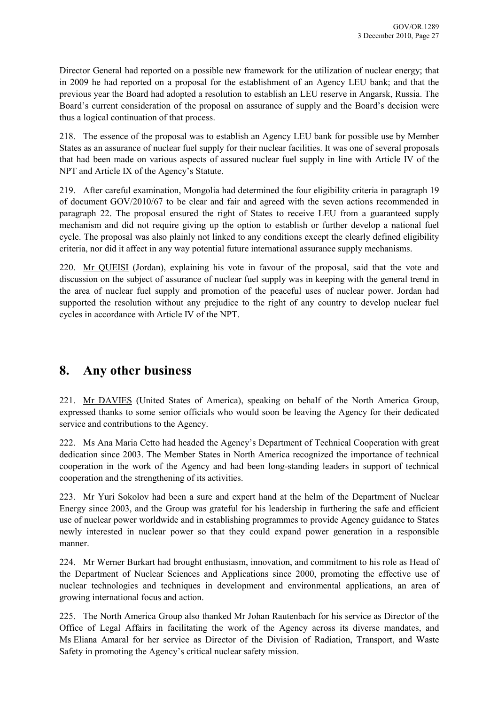Director General had reported on a possible new framework for the utilization of nuclear energy; that in 2009 he had reported on a proposal for the establishment of an Agency LEU bank; and that the previous year the Board had adopted a resolution to establish an LEU reserve in Angarsk, Russia. The Board's current consideration of the proposal on assurance of supply and the Board's decision were thus a logical continuation of that process.

218. The essence of the proposal was to establish an Agency LEU bank for possible use by Member States as an assurance of nuclear fuel supply for their nuclear facilities. It was one of several proposals that had been made on various aspects of assured nuclear fuel supply in line with Article IV of the NPT and Article IX of the Agency's Statute.

219. After careful examination, Mongolia had determined the four eligibility criteria in paragraph 19 of document GOV/2010/67 to be clear and fair and agreed with the seven actions recommended in paragraph 22. The proposal ensured the right of States to receive LEU from a guaranteed supply mechanism and did not require giving up the option to establish or further develop a national fuel cycle. The proposal was also plainly not linked to any conditions except the clearly defined eligibility criteria, nor did it affect in any way potential future international assurance supply mechanisms.

220. Mr QUEISI (Jordan), explaining his vote in favour of the proposal, said that the vote and discussion on the subject of assurance of nuclear fuel supply was in keeping with the general trend in the area of nuclear fuel supply and promotion of the peaceful uses of nuclear power. Jordan had supported the resolution without any prejudice to the right of any country to develop nuclear fuel cycles in accordance with Article IV of the NPT.

### **8. Any other business**

221. Mr DAVIES (United States of America), speaking on behalf of the North America Group, expressed thanks to some senior officials who would soon be leaving the Agency for their dedicated service and contributions to the Agency.

222. Ms Ana Maria Cetto had headed the Agency's Department of Technical Cooperation with great dedication since 2003. The Member States in North America recognized the importance of technical cooperation in the work of the Agency and had been long-standing leaders in support of technical cooperation and the strengthening of its activities.

223. Mr Yuri Sokolov had been a sure and expert hand at the helm of the Department of Nuclear Energy since 2003, and the Group was grateful for his leadership in furthering the safe and efficient use of nuclear power worldwide and in establishing programmes to provide Agency guidance to States newly interested in nuclear power so that they could expand power generation in a responsible manner.

224. Mr Werner Burkart had brought enthusiasm, innovation, and commitment to his role as Head of the Department of Nuclear Sciences and Applications since 2000, promoting the effective use of nuclear technologies and techniques in development and environmental applications, an area of growing international focus and action.

225. The North America Group also thanked Mr Johan Rautenbach for his service as Director of the Office of Legal Affairs in facilitating the work of the Agency across its diverse mandates, and Ms Eliana Amaral for her service as Director of the Division of Radiation, Transport, and Waste Safety in promoting the Agency's critical nuclear safety mission.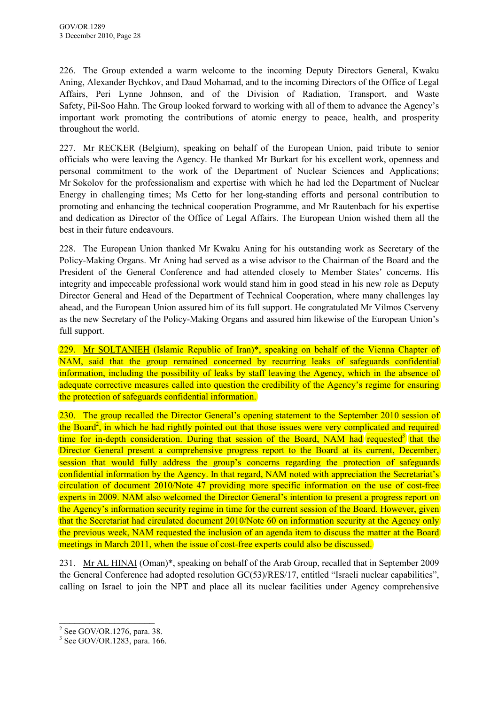<span id="page-32-0"></span>226. The Group extended a warm welcome to the incoming Deputy Directors General, Kwaku Aning, Alexander Bychkov, and Daud Mohamad, and to the incoming Directors of the Office of Legal Affairs, Peri Lynne Johnson, and of the Division of Radiation, Transport, and Waste Safety, Pil-Soo Hahn. The Group looked forward to working with all of them to advance the Agency's important work promoting the contributions of atomic energy to peace, health, and prosperity throughout the world.

227. Mr RECKER (Belgium), speaking on behalf of the European Union, paid tribute to senior officials who were leaving the Agency. He thanked Mr Burkart for his excellent work, openness and personal commitment to the work of the Department of Nuclear Sciences and Applications; Mr Sokolov for the professionalism and expertise with which he had led the Department of Nuclear Energy in challenging times; Ms Cetto for her long-standing efforts and personal contribution to promoting and enhancing the technical cooperation Programme, and Mr Rautenbach for his expertise and dedication as Director of the Office of Legal Affairs. The European Union wished them all the best in their future endeavours.

228. The European Union thanked Mr Kwaku Aning for his outstanding work as Secretary of the Policy-Making Organs. Mr Aning had served as a wise advisor to the Chairman of the Board and the President of the General Conference and had attended closely to Member States' concerns. His integrity and impeccable professional work would stand him in good stead in his new role as Deputy Director General and Head of the Department of Technical Cooperation, where many challenges lay ahead, and the European Union assured him of its full support. He congratulated Mr Vilmos Cserveny as the new Secretary of the Policy-Making Organs and assured him likewise of the European Union's full support.

229. Mr SOLTANIEH (Islamic Republic of Iran)\*, speaking on behalf of the Vienna Chapter of NAM, said that the group remained concerned by recurring leaks of safeguards confidential information, including the possibility of leaks by staff leaving the Agency, which in the absence of adequate corrective measures called into question the credibility of the Agency's regime for ensuring the protection of safeguards confidential information.

230. The group recalled the Director General's opening statement to the September 2010 session of the Board<sup>2</sup>, in which he had rightly pointed out that those issues were very complicated and required time for in-depth consideration. During that session of the Board, NAM had requested<sup>3</sup> that the Director General present a comprehensive progress report to the Board at its current, December, session that would fully address the group's concerns regarding the protection of safeguards confidential information by the Agency. In that regard, NAM noted with appreciation the Secretariat's circulation of document 2010/Note 47 providing more specific information on the use of cost-free experts in 2009. NAM also welcomed the Director General's intention to present a progress report on the Agency's information security regime in time for the current session of the Board. However, given that the Secretariat had circulated document 2010/Note 60 on information security at the Agency only the previous week, NAM requested the inclusion of an agenda item to discuss the matter at the Board meetings in March 2011, when the issue of cost-free experts could also be discussed.

231. Mr AL HINAI (Oman)\*, speaking on behalf of the Arab Group, recalled that in September 2009 the General Conference had adopted resolution GC(53)/RES/17, entitled "Israeli nuclear capabilities", calling on Israel to join the NPT and place all its nuclear facilities under Agency comprehensive

 $\overline{\phantom{a}}$  , which is a set of the set of the set of the set of the set of the set of the set of the set of the set of the set of the set of the set of the set of the set of the set of the set of the set of the set of th  $2^2$  See GOV/OR.1276, para. 38.

<sup>3</sup> See GOV/OR.1283, para. 166.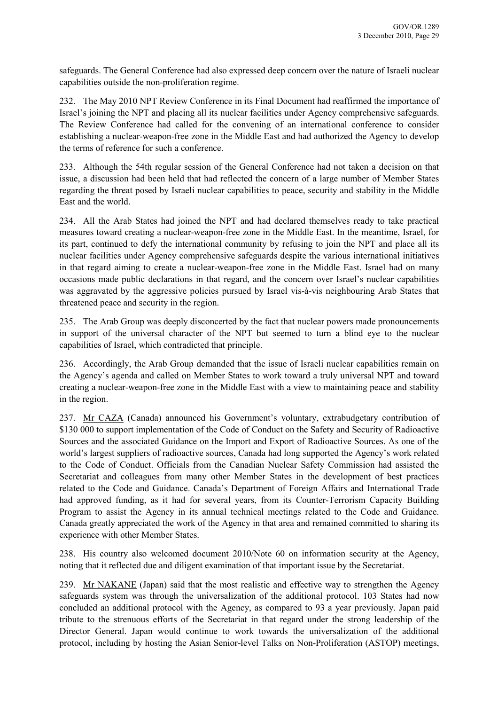safeguards. The General Conference had also expressed deep concern over the nature of Israeli nuclear capabilities outside the non-proliferation regime.

232. The May 2010 NPT Review Conference in its Final Document had reaffirmed the importance of Israel's joining the NPT and placing all its nuclear facilities under Agency comprehensive safeguards. The Review Conference had called for the convening of an international conference to consider establishing a nuclear-weapon-free zone in the Middle East and had authorized the Agency to develop the terms of reference for such a conference.

233. Although the 54th regular session of the General Conference had not taken a decision on that issue, a discussion had been held that had reflected the concern of a large number of Member States regarding the threat posed by Israeli nuclear capabilities to peace, security and stability in the Middle East and the world.

234. All the Arab States had joined the NPT and had declared themselves ready to take practical measures toward creating a nuclear-weapon-free zone in the Middle East. In the meantime, Israel, for its part, continued to defy the international community by refusing to join the NPT and place all its nuclear facilities under Agency comprehensive safeguards despite the various international initiatives in that regard aiming to create a nuclear-weapon-free zone in the Middle East. Israel had on many occasions made public declarations in that regard, and the concern over Israel's nuclear capabilities was aggravated by the aggressive policies pursued by Israel vis-à-vis neighbouring Arab States that threatened peace and security in the region.

235. The Arab Group was deeply disconcerted by the fact that nuclear powers made pronouncements in support of the universal character of the NPT but seemed to turn a blind eye to the nuclear capabilities of Israel, which contradicted that principle.

236. Accordingly, the Arab Group demanded that the issue of Israeli nuclear capabilities remain on the Agency's agenda and called on Member States to work toward a truly universal NPT and toward creating a nuclear-weapon-free zone in the Middle East with a view to maintaining peace and stability in the region.

237. Mr CAZA (Canada) announced his Government's voluntary, extrabudgetary contribution of \$130 000 to support implementation of the Code of Conduct on the Safety and Security of Radioactive Sources and the associated Guidance on the Import and Export of Radioactive Sources. As one of the world's largest suppliers of radioactive sources, Canada had long supported the Agency's work related to the Code of Conduct. Officials from the Canadian Nuclear Safety Commission had assisted the Secretariat and colleagues from many other Member States in the development of best practices related to the Code and Guidance. Canada's Department of Foreign Affairs and International Trade had approved funding, as it had for several years, from its Counter-Terrorism Capacity Building Program to assist the Agency in its annual technical meetings related to the Code and Guidance. Canada greatly appreciated the work of the Agency in that area and remained committed to sharing its experience with other Member States.

238. His country also welcomed document 2010/Note 60 on information security at the Agency, noting that it reflected due and diligent examination of that important issue by the Secretariat.

239. Mr NAKANE (Japan) said that the most realistic and effective way to strengthen the Agency safeguards system was through the universalization of the additional protocol. 103 States had now concluded an additional protocol with the Agency, as compared to 93 a year previously. Japan paid tribute to the strenuous efforts of the Secretariat in that regard under the strong leadership of the Director General. Japan would continue to work towards the universalization of the additional protocol, including by hosting the Asian Senior-level Talks on Non-Proliferation (ASTOP) meetings,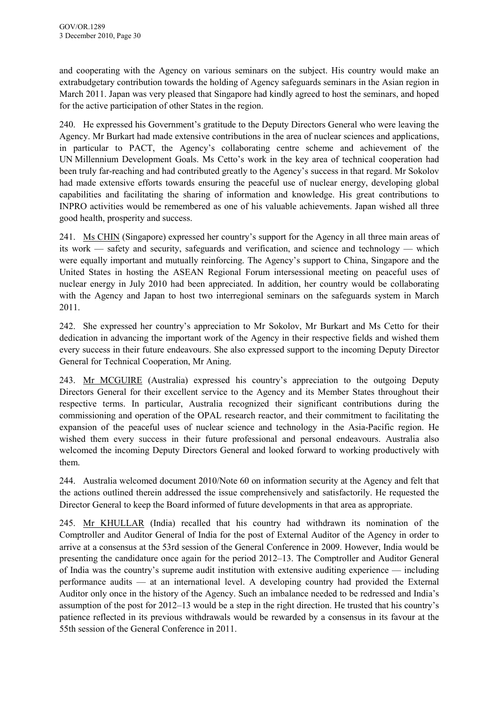and cooperating with the Agency on various seminars on the subject. His country would make an extrabudgetary contribution towards the holding of Agency safeguards seminars in the Asian region in March 2011. Japan was very pleased that Singapore had kindly agreed to host the seminars, and hoped for the active participation of other States in the region.

240. He expressed his Government's gratitude to the Deputy Directors General who were leaving the Agency. Mr Burkart had made extensive contributions in the area of nuclear sciences and applications, in particular to PACT, the Agency's collaborating centre scheme and achievement of the UN Millennium Development Goals. Ms Cetto's work in the key area of technical cooperation had been truly far-reaching and had contributed greatly to the Agency's success in that regard. Mr Sokolov had made extensive efforts towards ensuring the peaceful use of nuclear energy, developing global capabilities and facilitating the sharing of information and knowledge. His great contributions to INPRO activities would be remembered as one of his valuable achievements. Japan wished all three good health, prosperity and success.

241. Ms CHIN (Singapore) expressed her country's support for the Agency in all three main areas of its work — safety and security, safeguards and verification, and science and technology — which were equally important and mutually reinforcing. The Agency's support to China, Singapore and the United States in hosting the ASEAN Regional Forum intersessional meeting on peaceful uses of nuclear energy in July 2010 had been appreciated. In addition, her country would be collaborating with the Agency and Japan to host two interregional seminars on the safeguards system in March 2011.

242. She expressed her country's appreciation to Mr Sokolov, Mr Burkart and Ms Cetto for their dedication in advancing the important work of the Agency in their respective fields and wished them every success in their future endeavours. She also expressed support to the incoming Deputy Director General for Technical Cooperation, Mr Aning.

243. Mr MCGUIRE (Australia) expressed his country's appreciation to the outgoing Deputy Directors General for their excellent service to the Agency and its Member States throughout their respective terms. In particular, Australia recognized their significant contributions during the commissioning and operation of the OPAL research reactor, and their commitment to facilitating the expansion of the peaceful uses of nuclear science and technology in the Asia-Pacific region. He wished them every success in their future professional and personal endeavours. Australia also welcomed the incoming Deputy Directors General and looked forward to working productively with them.

244. Australia welcomed document 2010/Note 60 on information security at the Agency and felt that the actions outlined therein addressed the issue comprehensively and satisfactorily. He requested the Director General to keep the Board informed of future developments in that area as appropriate.

245. Mr KHULLAR (India) recalled that his country had withdrawn its nomination of the Comptroller and Auditor General of India for the post of External Auditor of the Agency in order to arrive at a consensus at the 53rd session of the General Conference in 2009. However, India would be presenting the candidature once again for the period 2012–13. The Comptroller and Auditor General of India was the country's supreme audit institution with extensive auditing experience — including performance audits — at an international level. A developing country had provided the External Auditor only once in the history of the Agency. Such an imbalance needed to be redressed and India's assumption of the post for 2012–13 would be a step in the right direction. He trusted that his country's patience reflected in its previous withdrawals would be rewarded by a consensus in its favour at the 55th session of the General Conference in 2011.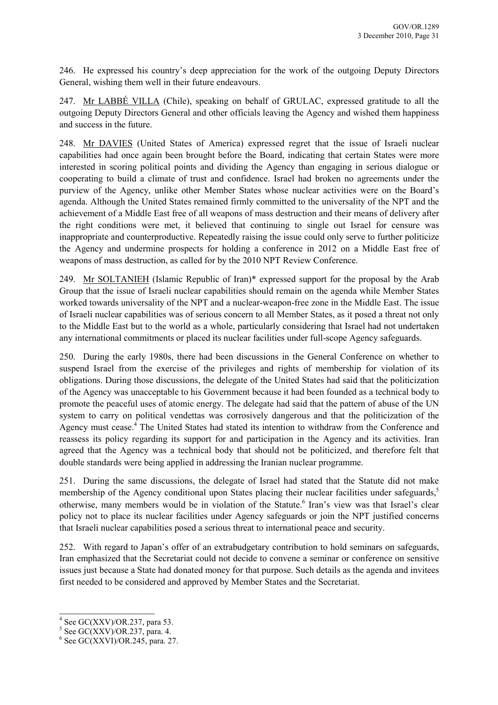246. He expressed his country's deep appreciation for the work of the outgoing Deputy Directors General, wishing them well in their future endeavours.

247. Mr LABBÉ VILLA (Chile), speaking on behalf of GRULAC, expressed gratitude to all the outgoing Deputy Directors General and other officials leaving the Agency and wished them happiness and success in the future.

248. Mr DAVIES (United States of America) expressed regret that the issue of Israeli nuclear capabilities had once again been brought before the Board, indicating that certain States were more interested in scoring political points and dividing the Agency than engaging in serious dialogue or cooperating to build a climate of trust and confidence. Israel had broken no agreements under the purview of the Agency, unlike other Member States whose nuclear activities were on the Board's agenda. Although the United States remained firmly committed to the universality of the NPT and the achievement of a Middle East free of all weapons of mass destruction and their means of delivery after the right conditions were met, it believed that continuing to single out Israel for censure was inappropriate and counterproductive. Repeatedly raising the issue could only serve to further politicize the Agency and undermine prospects for holding a conference in 2012 on a Middle East free of weapons of mass destruction, as called for by the 2010 NPT Review Conference.

249. Mr SOLTANIEH (Islamic Republic of Iran)\* expressed support for the proposal by the Arab Group that the issue of Israeli nuclear capabilities should remain on the agenda while Member States worked towards universality of the NPT and a nuclear-weapon-free zone in the Middle East. The issue of Israeli nuclear capabilities was of serious concern to all Member States, as it posed a threat not only to the Middle East but to the world as a whole, particularly considering that Israel had not undertaken any international commitments or placed its nuclear facilities under full-scope Agency safeguards.

250. During the early 1980s, there had been discussions in the General Conference on whether to suspend Israel from the exercise of the privileges and rights of membership for violation of its obligations. During those discussions, the delegate of the United States had said that the politicization of the Agency was unacceptable to his Government because it had been founded as a technical body to promote the peaceful uses of atomic energy. The delegate had said that the pattern of abuse of the UN system to carry on political vendettas was corrosively dangerous and that the politicization of the Agency must cease.<sup>4</sup> The United States had stated its intention to withdraw from the Conference and reassess its policy regarding its support for and participation in the Agency and its activities. Iran agreed that the Agency was a technical body that should not be politicized, and therefore felt that double standards were being applied in addressing the Iranian nuclear programme.

251. During the same discussions, the delegate of Israel had stated that the Statute did not make membership of the Agency conditional upon States placing their nuclear facilities under safeguards,<sup>5</sup> otherwise, many members would be in violation of the Statute.<sup>6</sup> Iran's view was that Israel's clear policy not to place its nuclear facilities under Agency safeguards or join the NPT justified concerns that Israeli nuclear capabilities posed a serious threat to international peace and security.

252. With regard to Japan's offer of an extrabudgetary contribution to hold seminars on safeguards, Iran emphasized that the Secretariat could not decide to convene a seminar or conference on sensitive issues just because a State had donated money for that purpose. Such details as the agenda and invitees first needed to be considered and approved by Member States and the Secretariat.

 $\overline{\phantom{a}}$  , which is a set of the set of the set of the set of the set of the set of the set of the set of the set of the set of the set of the set of the set of the set of the set of the set of the set of the set of th

 $4$  See GC(XXV)/OR.237, para 53.

 $<sup>5</sup>$  See GC(XXV)/OR.237, para. 4.</sup>

 $6$  See GC(XXVI)/OR.245, para. 27.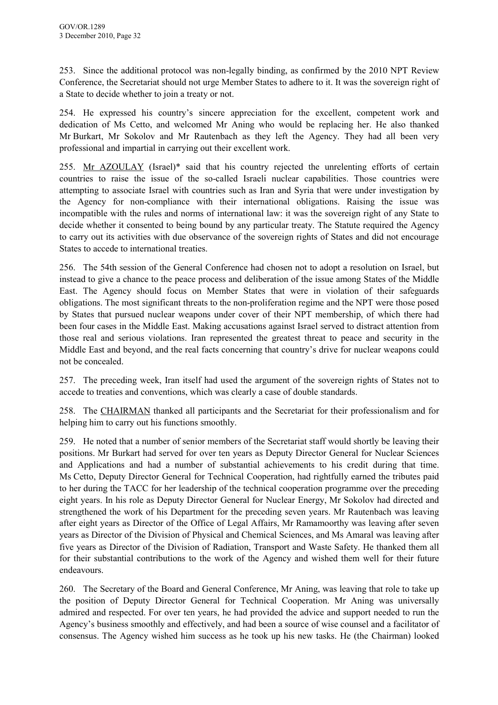253. Since the additional protocol was non-legally binding, as confirmed by the 2010 NPT Review Conference, the Secretariat should not urge Member States to adhere to it. It was the sovereign right of a State to decide whether to join a treaty or not.

254. He expressed his country's sincere appreciation for the excellent, competent work and dedication of Ms Cetto, and welcomed Mr Aning who would be replacing her. He also thanked Mr Burkart, Mr Sokolov and Mr Rautenbach as they left the Agency. They had all been very professional and impartial in carrying out their excellent work.

255. Mr AZOULAY (Israel)\* said that his country rejected the unrelenting efforts of certain countries to raise the issue of the so-called Israeli nuclear capabilities. Those countries were attempting to associate Israel with countries such as Iran and Syria that were under investigation by the Agency for non-compliance with their international obligations. Raising the issue was incompatible with the rules and norms of international law: it was the sovereign right of any State to decide whether it consented to being bound by any particular treaty. The Statute required the Agency to carry out its activities with due observance of the sovereign rights of States and did not encourage States to accede to international treaties.

256. The 54th session of the General Conference had chosen not to adopt a resolution on Israel, but instead to give a chance to the peace process and deliberation of the issue among States of the Middle East. The Agency should focus on Member States that were in violation of their safeguards obligations. The most significant threats to the non-proliferation regime and the NPT were those posed by States that pursued nuclear weapons under cover of their NPT membership, of which there had been four cases in the Middle East. Making accusations against Israel served to distract attention from those real and serious violations. Iran represented the greatest threat to peace and security in the Middle East and beyond, and the real facts concerning that country's drive for nuclear weapons could not be concealed.

257. The preceding week, Iran itself had used the argument of the sovereign rights of States not to accede to treaties and conventions, which was clearly a case of double standards.

258. The CHAIRMAN thanked all participants and the Secretariat for their professionalism and for helping him to carry out his functions smoothly.

259. He noted that a number of senior members of the Secretariat staff would shortly be leaving their positions. Mr Burkart had served for over ten years as Deputy Director General for Nuclear Sciences and Applications and had a number of substantial achievements to his credit during that time. Ms Cetto, Deputy Director General for Technical Cooperation, had rightfully earned the tributes paid to her during the TACC for her leadership of the technical cooperation programme over the preceding eight years. In his role as Deputy Director General for Nuclear Energy, Mr Sokolov had directed and strengthened the work of his Department for the preceding seven years. Mr Rautenbach was leaving after eight years as Director of the Office of Legal Affairs, Mr Ramamoorthy was leaving after seven years as Director of the Division of Physical and Chemical Sciences, and Ms Amaral was leaving after five years as Director of the Division of Radiation, Transport and Waste Safety. He thanked them all for their substantial contributions to the work of the Agency and wished them well for their future endeavours.

260. The Secretary of the Board and General Conference, Mr Aning, was leaving that role to take up the position of Deputy Director General for Technical Cooperation. Mr Aning was universally admired and respected. For over ten years, he had provided the advice and support needed to run the Agency's business smoothly and effectively, and had been a source of wise counsel and a facilitator of consensus. The Agency wished him success as he took up his new tasks. He (the Chairman) looked